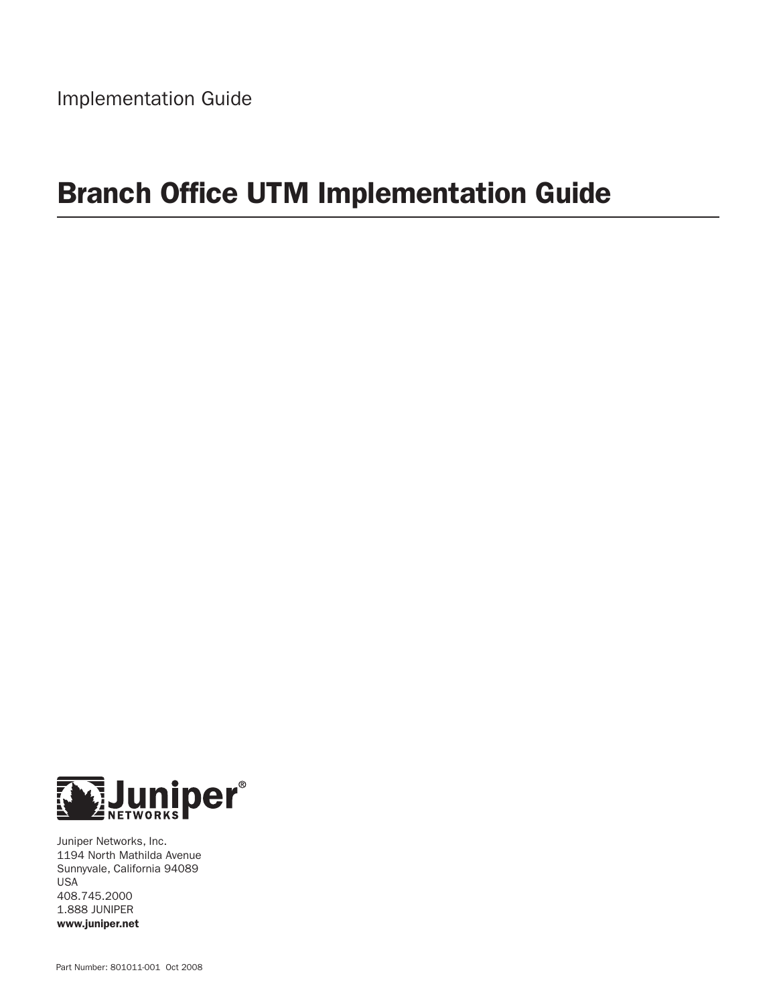# Branch Office UTM Implementation Guide



Juniper Networks, Inc. 1194 North Mathilda Avenue Sunnyvale, California 94089 USA 408.745.2000 1.888 JUNIPER www.juniper.net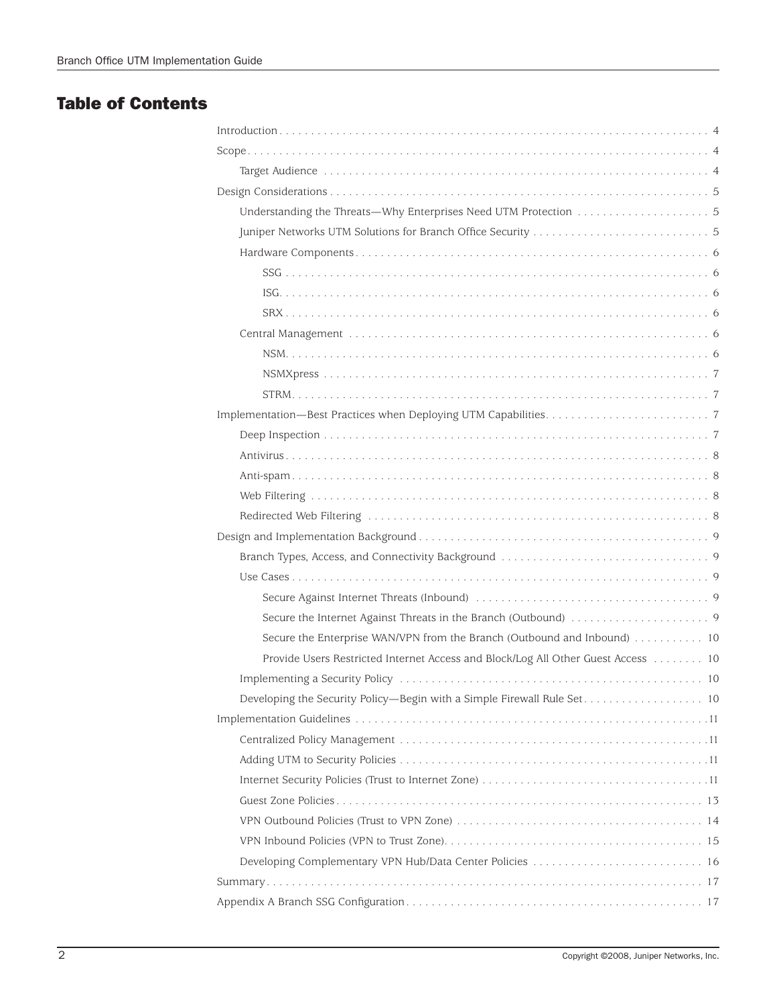# Table of Contents

| Secure the Enterprise WAN/VPN from the Branch (Outbound and Inbound) 10           |
|-----------------------------------------------------------------------------------|
| Provide Users Restricted Internet Access and Block/Log All Other Guest Access  10 |
|                                                                                   |
|                                                                                   |
|                                                                                   |
|                                                                                   |
|                                                                                   |
|                                                                                   |
|                                                                                   |
|                                                                                   |
|                                                                                   |
|                                                                                   |
|                                                                                   |
|                                                                                   |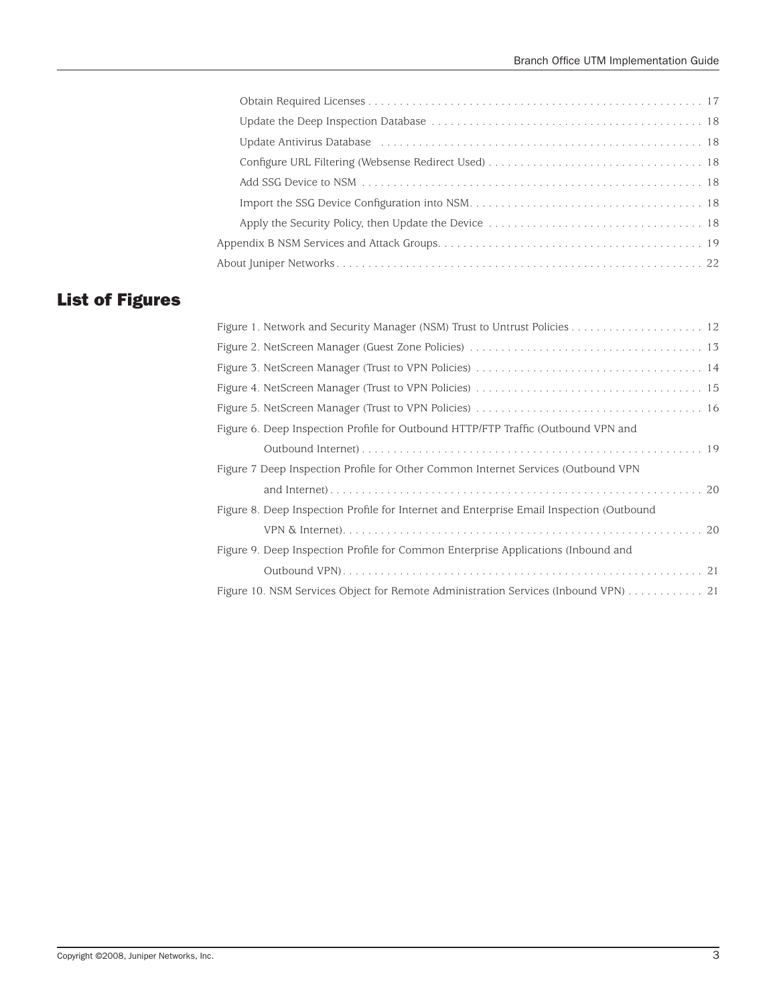| Update Antivirus Database (and all contrares and all contrares and all contrares and the Update Antivirus Database |
|--------------------------------------------------------------------------------------------------------------------|
|                                                                                                                    |
|                                                                                                                    |
|                                                                                                                    |
|                                                                                                                    |
|                                                                                                                    |
|                                                                                                                    |

# List of Figures

| Figure 6. Deep Inspection Profile for Outbound HTTP/FTP Traffic (Outbound VPN and        |
|------------------------------------------------------------------------------------------|
|                                                                                          |
| Figure 7 Deep Inspection Profile for Other Common Internet Services (Outbound VPN        |
|                                                                                          |
| Figure 8. Deep Inspection Profile for Internet and Enterprise Email Inspection (Outbound |
|                                                                                          |
| Figure 9. Deep Inspection Profile for Common Enterprise Applications (Inbound and        |
|                                                                                          |
| Figure 10. NSM Services Object for Remote Administration Services (Inbound VPN) 21       |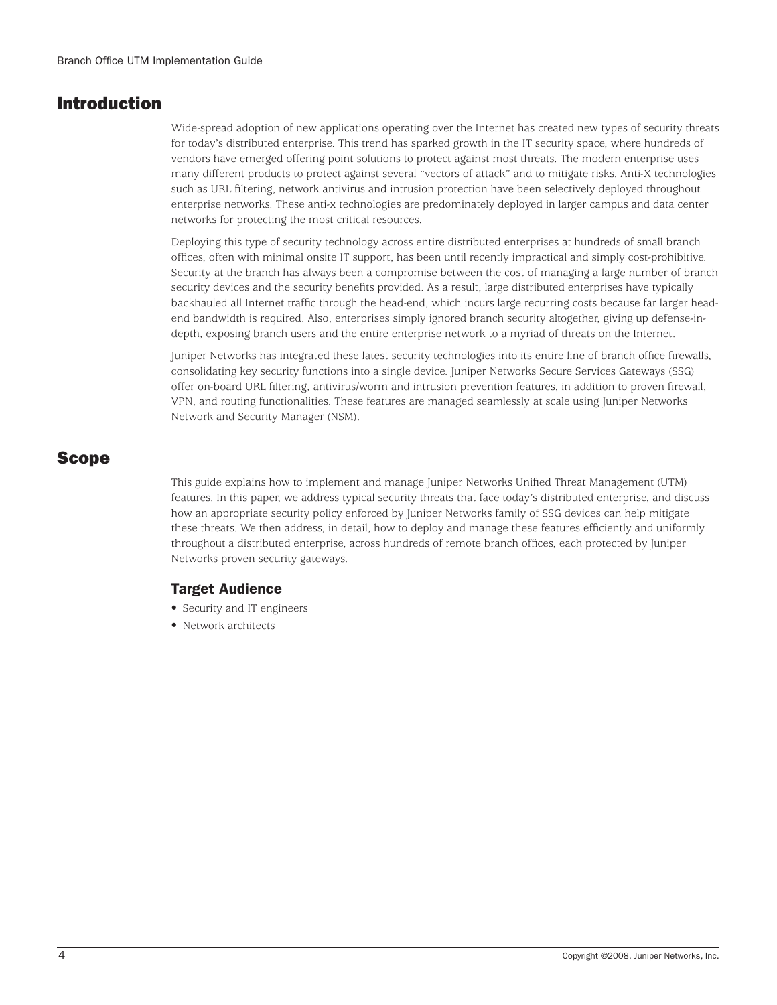# Introduction

Wide-spread adoption of new applications operating over the Internet has created new types of security threats for today's distributed enterprise. This trend has sparked growth in the IT security space, where hundreds of vendors have emerged offering point solutions to protect against most threats. The modern enterprise uses many different products to protect against several "vectors of attack" and to mitigate risks. Anti-X technologies such as URL filtering, network antivirus and intrusion protection have been selectively deployed throughout enterprise networks. These anti-x technologies are predominately deployed in larger campus and data center networks for protecting the most critical resources.

Deploying this type of security technology across entire distributed enterprises at hundreds of small branch offices, often with minimal onsite IT support, has been until recently impractical and simply cost-prohibitive. Security at the branch has always been a compromise between the cost of managing a large number of branch security devices and the security benefits provided. As a result, large distributed enterprises have typically backhauled all Internet traffic through the head-end, which incurs large recurring costs because far larger headend bandwidth is required. Also, enterprises simply ignored branch security altogether, giving up defense-indepth, exposing branch users and the entire enterprise network to a myriad of threats on the Internet.

Juniper Networks has integrated these latest security technologies into its entire line of branch office firewalls, consolidating key security functions into a single device. Juniper Networks Secure Services Gateways (SSG) offer on-board URL filtering, antivirus/worm and intrusion prevention features, in addition to proven firewall, VPN, and routing functionalities. These features are managed seamlessly at scale using Juniper Networks Network and Security Manager (NSM).

# Scope

This guide explains how to implement and manage Juniper Networks Unified Threat Management (UTM) features. In this paper, we address typical security threats that face today's distributed enterprise, and discuss how an appropriate security policy enforced by Juniper Networks family of SSG devices can help mitigate these threats. We then address, in detail, how to deploy and manage these features efficiently and uniformly throughout a distributed enterprise, across hundreds of remote branch offices, each protected by Juniper Networks proven security gateways.

# Target Audience

- Security and IT engineers
- Network architects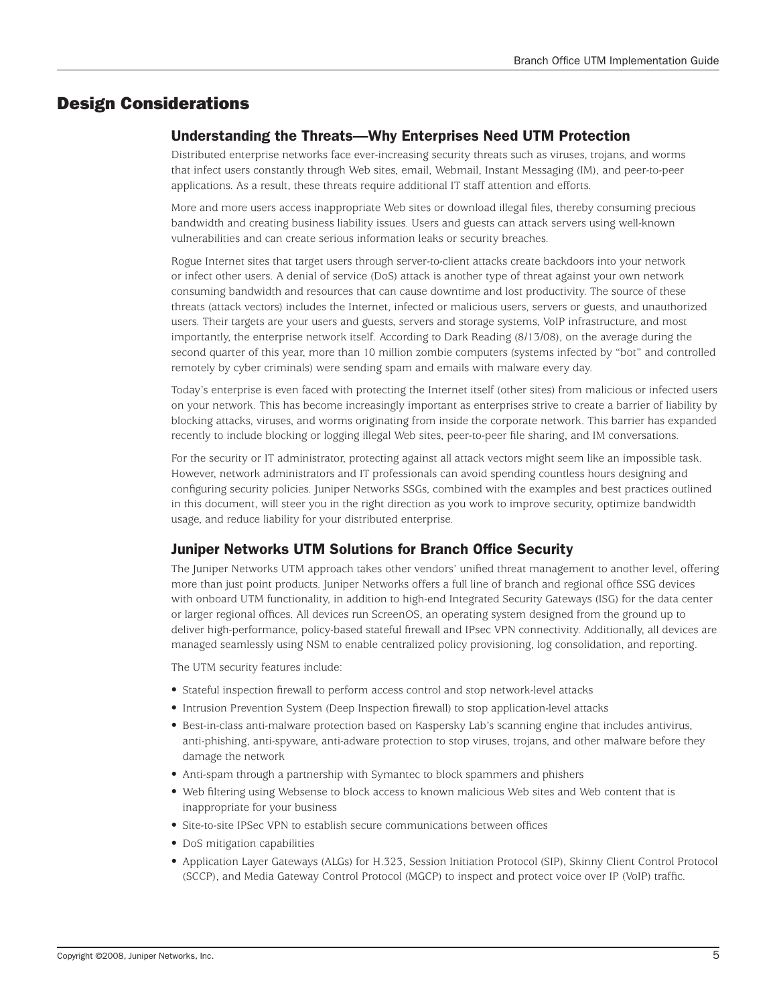# Design Considerations

# Understanding the Threats—Why Enterprises Need UTM Protection

Distributed enterprise networks face ever-increasing security threats such as viruses, trojans, and worms that infect users constantly through Web sites, email, Webmail, Instant Messaging (IM), and peer-to-peer applications. As a result, these threats require additional IT staff attention and efforts.

More and more users access inappropriate Web sites or download illegal files, thereby consuming precious bandwidth and creating business liability issues. Users and guests can attack servers using well-known vulnerabilities and can create serious information leaks or security breaches.

Rogue Internet sites that target users through server-to-client attacks create backdoors into your network or infect other users. A denial of service (DoS) attack is another type of threat against your own network consuming bandwidth and resources that can cause downtime and lost productivity. The source of these threats (attack vectors) includes the Internet, infected or malicious users, servers or guests, and unauthorized users. Their targets are your users and guests, servers and storage systems, VoIP infrastructure, and most importantly, the enterprise network itself. According to Dark Reading (8/13/08), on the average during the second quarter of this year, more than 10 million zombie computers (systems infected by "bot" and controlled remotely by cyber criminals) were sending spam and emails with malware every day.

Today's enterprise is even faced with protecting the Internet itself (other sites) from malicious or infected users on your network. This has become increasingly important as enterprises strive to create a barrier of liability by blocking attacks, viruses, and worms originating from inside the corporate network. This barrier has expanded recently to include blocking or logging illegal Web sites, peer-to-peer file sharing, and IM conversations.

For the security or IT administrator, protecting against all attack vectors might seem like an impossible task. However, network administrators and IT professionals can avoid spending countless hours designing and configuring security policies. Juniper Networks SSGs, combined with the examples and best practices outlined in this document, will steer you in the right direction as you work to improve security, optimize bandwidth usage, and reduce liability for your distributed enterprise.

# Juniper Networks UTM Solutions for Branch Office Security

The Juniper Networks UTM approach takes other vendors' unified threat management to another level, offering more than just point products. Juniper Networks offers a full line of branch and regional office SSG devices with onboard UTM functionality, in addition to high-end Integrated Security Gateways (ISG) for the data center or larger regional offices. All devices run ScreenOS, an operating system designed from the ground up to deliver high-performance, policy-based stateful firewall and IPsec VPN connectivity. Additionally, all devices are managed seamlessly using NSM to enable centralized policy provisioning, log consolidation, and reporting.

The UTM security features include:

- Stateful inspection firewall to perform access control and stop network-level attacks
- • Intrusion Prevention System (Deep Inspection firewall) to stop application-level attacks
- • Best-in-class anti-malware protection based on Kaspersky Lab's scanning engine that includes antivirus, anti-phishing, anti-spyware, anti-adware protection to stop viruses, trojans, and other malware before they damage the network
- Anti-spam through a partnership with Symantec to block spammers and phishers
- Web filtering using Websense to block access to known malicious Web sites and Web content that is inappropriate for your business
- Site-to-site IPSec VPN to establish secure communications between offices
- DoS mitigation capabilities
- Application Layer Gateways (ALGs) for H.323, Session Initiation Protocol (SIP), Skinny Client Control Protocol (SCCP), and Media Gateway Control Protocol (MGCP) to inspect and protect voice over IP (VoIP) traffic.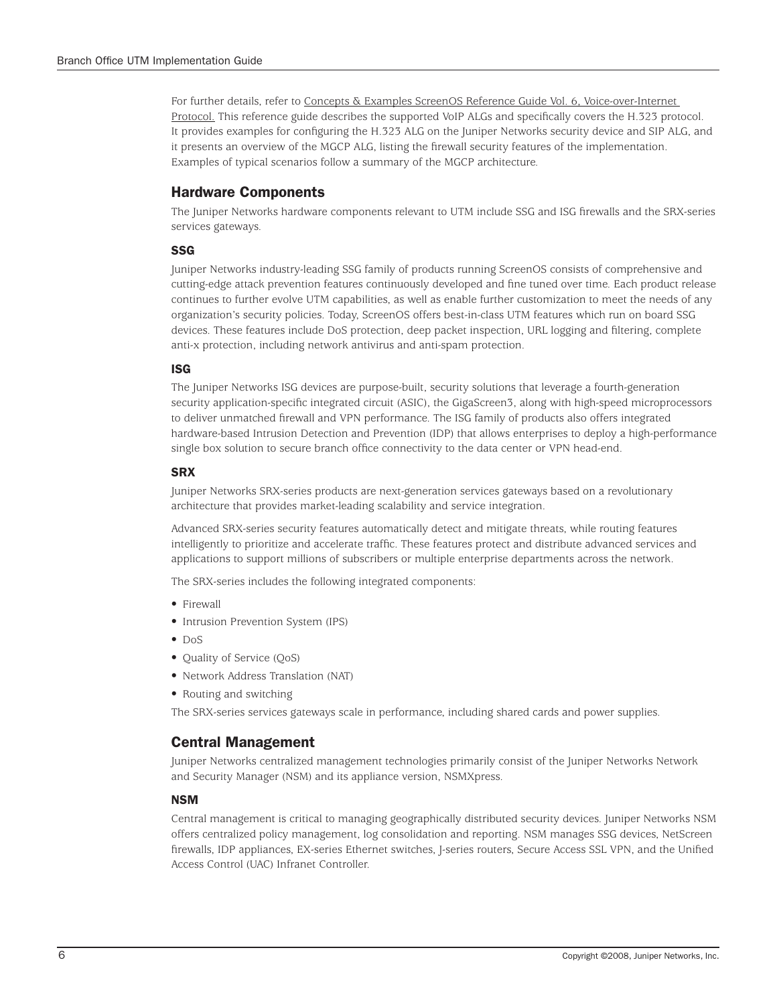For further details, refer to Concepts & Examples ScreenOS Reference Guide Vol. 6, Voice-over-Internet Protocol. This reference guide describes the supported VoIP ALGs and specifically covers the H.323 protocol. It provides examples for configuring the H.323 ALG on the Juniper Networks security device and SIP ALG, and it presents an overview of the MGCP ALG, listing the firewall security features of the implementation. Examples of typical scenarios follow a summary of the MGCP architecture.

# Hardware Components

The Juniper Networks hardware components relevant to UTM include SSG and ISG firewalls and the SRX-series services gateways.

#### **SSG**

Juniper Networks industry-leading SSG family of products running ScreenOS consists of comprehensive and cutting-edge attack prevention features continuously developed and fine tuned over time. Each product release continues to further evolve UTM capabilities, as well as enable further customization to meet the needs of any organization's security policies. Today, ScreenOS offers best-in-class UTM features which run on board SSG devices. These features include DoS protection, deep packet inspection, URL logging and filtering, complete anti-x protection, including network antivirus and anti-spam protection.

#### ISG

The Juniper Networks ISG devices are purpose-built, security solutions that leverage a fourth-generation security application-specific integrated circuit (ASIC), the GigaScreen3, along with high-speed microprocessors to deliver unmatched firewall and VPN performance. The ISG family of products also offers integrated hardware-based Intrusion Detection and Prevention (IDP) that allows enterprises to deploy a high-performance single box solution to secure branch office connectivity to the data center or VPN head-end.

#### **SRX**

Juniper Networks SRX-series products are next-generation services gateways based on a revolutionary architecture that provides market-leading scalability and service integration.

Advanced SRX-series security features automatically detect and mitigate threats, while routing features intelligently to prioritize and accelerate traffic. These features protect and distribute advanced services and applications to support millions of subscribers or multiple enterprise departments across the network.

The SRX-series includes the following integrated components:

- Firewall
- Intrusion Prevention System (IPS)
- DoS
- Ouality of Service (OoS)
- Network Address Translation (NAT)
- Routing and switching

The SRX-series services gateways scale in performance, including shared cards and power supplies.

### Central Management

Juniper Networks centralized management technologies primarily consist of the Juniper Networks Network and Security Manager (NSM) and its appliance version, NSMXpress.

#### NSM

Central management is critical to managing geographically distributed security devices. Juniper Networks NSM offers centralized policy management, log consolidation and reporting. NSM manages SSG devices, NetScreen firewalls, IDP appliances, EX-series Ethernet switches, J-series routers, Secure Access SSL VPN, and the Unified Access Control (UAC) Infranet Controller.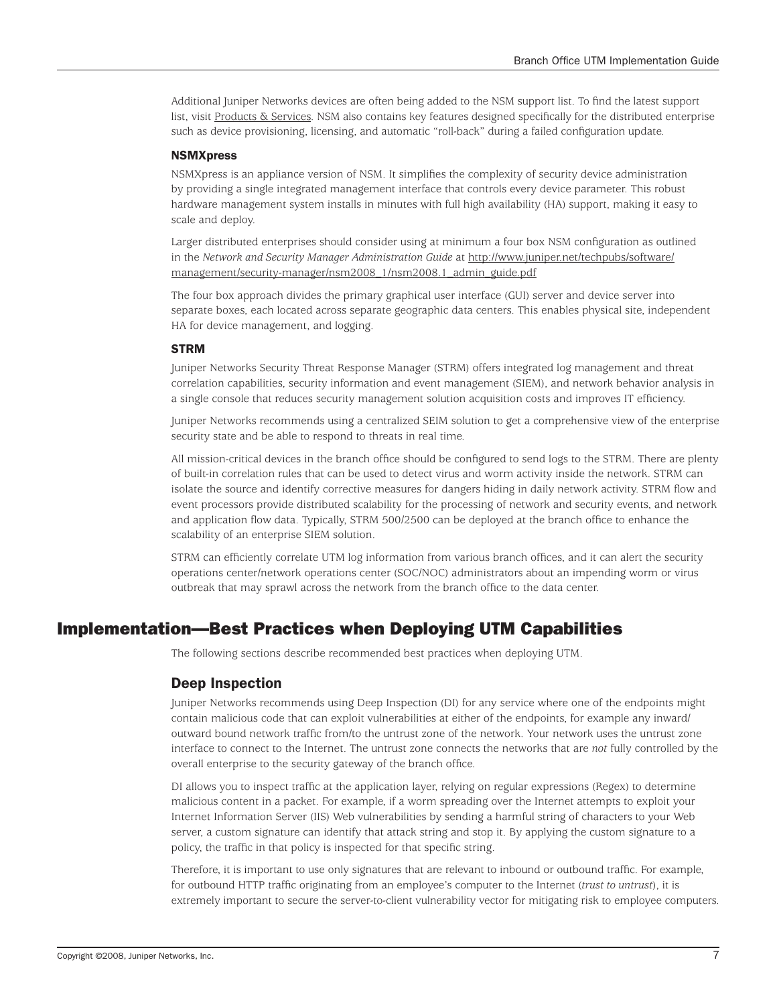Additional Juniper Networks devices are often being added to the NSM support list. To find the latest support list, visit Products & Services. NSM also contains key features designed specifically for the distributed enterprise such as device provisioning, licensing, and automatic "roll-back" during a failed configuration update.

#### **NSMXpress**

NSMXpress is an appliance version of NSM. It simplifies the complexity of security device administration by providing a single integrated management interface that controls every device parameter. This robust hardware management system installs in minutes with full high availability (HA) support, making it easy to scale and deploy.

Larger distributed enterprises should consider using at minimum a four box NSM configuration as outlined in the *Network and Security Manager Administration Guide* at http://www.juniper.net/techpubs/software/ management/security-manager/nsm2008\_1/nsm2008.1\_admin\_guide.pdf

The four box approach divides the primary graphical user interface (GUI) server and device server into separate boxes, each located across separate geographic data centers. This enables physical site, independent HA for device management, and logging.

#### STRM

Juniper Networks Security Threat Response Manager (STRM) offers integrated log management and threat correlation capabilities, security information and event management (SIEM), and network behavior analysis in a single console that reduces security management solution acquisition costs and improves IT efficiency.

Juniper Networks recommends using a centralized SEIM solution to get a comprehensive view of the enterprise security state and be able to respond to threats in real time.

All mission-critical devices in the branch office should be configured to send logs to the STRM. There are plenty of built-in correlation rules that can be used to detect virus and worm activity inside the network. STRM can isolate the source and identify corrective measures for dangers hiding in daily network activity. STRM flow and event processors provide distributed scalability for the processing of network and security events, and network and application flow data. Typically, STRM 500/2500 can be deployed at the branch office to enhance the scalability of an enterprise SIEM solution.

STRM can efficiently correlate UTM log information from various branch offices, and it can alert the security operations center/network operations center (SOC/NOC) administrators about an impending worm or virus outbreak that may sprawl across the network from the branch office to the data center.

# Implementation—Best Practices when Deploying UTM Capabilities

The following sections describe recommended best practices when deploying UTM.

### Deep Inspection

Juniper Networks recommends using Deep Inspection (DI) for any service where one of the endpoints might contain malicious code that can exploit vulnerabilities at either of the endpoints, for example any inward/ outward bound network traffic from/to the untrust zone of the network. Your network uses the untrust zone interface to connect to the Internet. The untrust zone connects the networks that are *not* fully controlled by the overall enterprise to the security gateway of the branch office.

DI allows you to inspect traffic at the application layer, relying on regular expressions (Regex) to determine malicious content in a packet. For example, if a worm spreading over the Internet attempts to exploit your Internet Information Server (IIS) Web vulnerabilities by sending a harmful string of characters to your Web server, a custom signature can identify that attack string and stop it. By applying the custom signature to a policy, the traffic in that policy is inspected for that specific string.

Therefore, it is important to use only signatures that are relevant to inbound or outbound traffic. For example, for outbound HTTP traffic originating from an employee's computer to the Internet (*trust to untrust*), it is extremely important to secure the server-to-client vulnerability vector for mitigating risk to employee computers.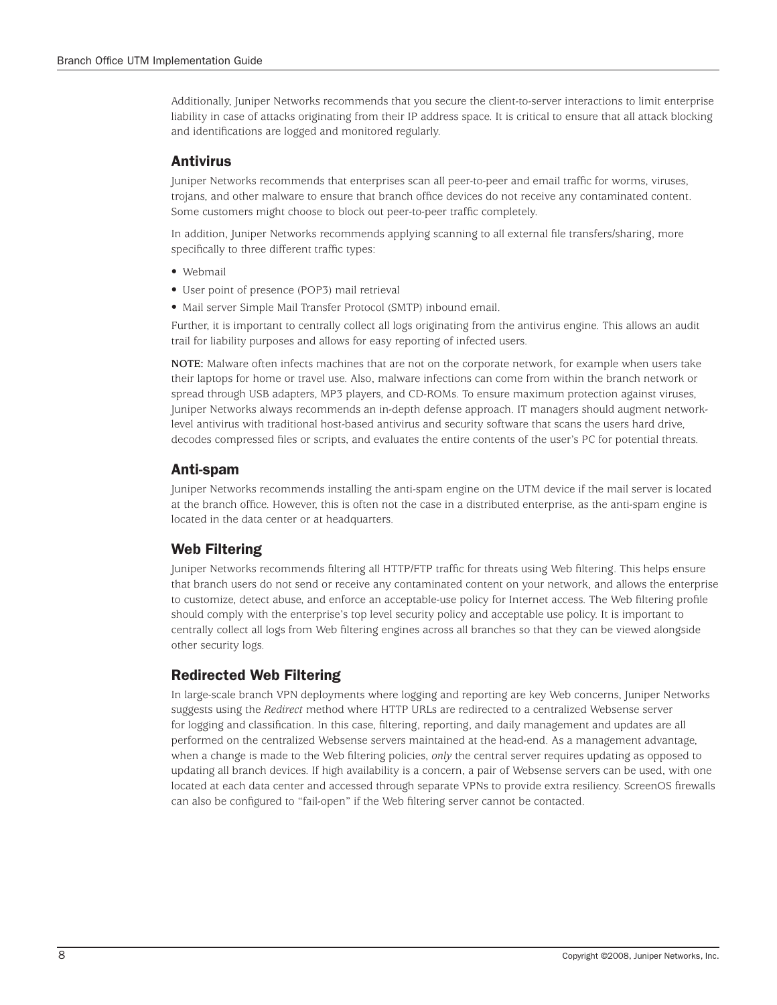Additionally, Juniper Networks recommends that you secure the client-to-server interactions to limit enterprise liability in case of attacks originating from their IP address space. It is critical to ensure that all attack blocking and identifications are logged and monitored regularly.

#### **Antivirus**

Juniper Networks recommends that enterprises scan all peer-to-peer and email traffic for worms, viruses, trojans, and other malware to ensure that branch office devices do not receive any contaminated content. Some customers might choose to block out peer-to-peer traffic completely.

In addition, Juniper Networks recommends applying scanning to all external file transfers/sharing, more specifically to three different traffic types:

- Webmail
- User point of presence (POP3) mail retrieval
- Mail server Simple Mail Transfer Protocol (SMTP) inbound email.

Further, it is important to centrally collect all logs originating from the antivirus engine. This allows an audit trail for liability purposes and allows for easy reporting of infected users.

**NOTE:** Malware often infects machines that are not on the corporate network, for example when users take their laptops for home or travel use. Also, malware infections can come from within the branch network or spread through USB adapters, MP3 players, and CD-ROMs. To ensure maximum protection against viruses, Juniper Networks always recommends an in-depth defense approach. IT managers should augment networklevel antivirus with traditional host-based antivirus and security software that scans the users hard drive, decodes compressed files or scripts, and evaluates the entire contents of the user's PC for potential threats.

# Anti-spam

Juniper Networks recommends installing the anti-spam engine on the UTM device if the mail server is located at the branch office. However, this is often not the case in a distributed enterprise, as the anti-spam engine is located in the data center or at headquarters.

# Web Filtering

Juniper Networks recommends filtering all HTTP/FTP traffic for threats using Web filtering. This helps ensure that branch users do not send or receive any contaminated content on your network, and allows the enterprise to customize, detect abuse, and enforce an acceptable-use policy for Internet access. The Web filtering profile should comply with the enterprise's top level security policy and acceptable use policy. It is important to centrally collect all logs from Web filtering engines across all branches so that they can be viewed alongside other security logs.

# Redirected Web Filtering

In large-scale branch VPN deployments where logging and reporting are key Web concerns, Juniper Networks suggests using the *Redirect* method where HTTP URLs are redirected to a centralized Websense server for logging and classification. In this case, filtering, reporting, and daily management and updates are all performed on the centralized Websense servers maintained at the head-end. As a management advantage, when a change is made to the Web filtering policies, *only* the central server requires updating as opposed to updating all branch devices. If high availability is a concern, a pair of Websense servers can be used, with one located at each data center and accessed through separate VPNs to provide extra resiliency. ScreenOS firewalls can also be configured to "fail-open" if the Web filtering server cannot be contacted.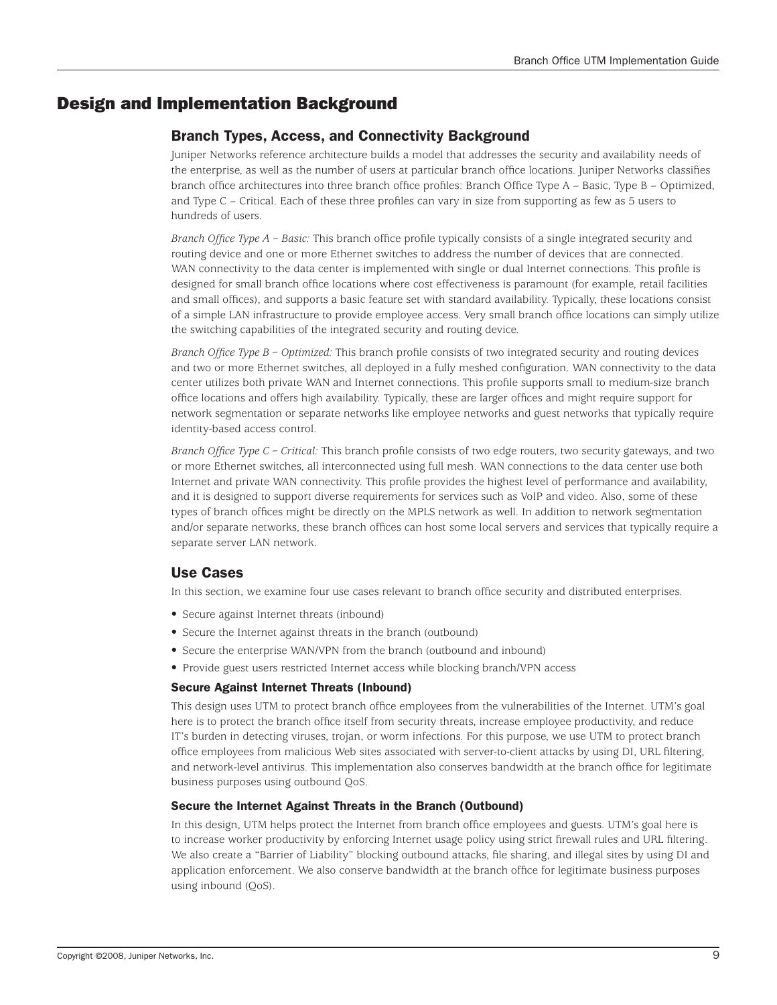# Design and Implementation Background

# Branch Types, Access, and Connectivity Background

Juniper Networks reference architecture builds a model that addresses the security and availability needs of the enterprise, as well as the number of users at particular branch office locations. Juniper Networks classifies branch office architectures into three branch office profiles: Branch Office Type A – Basic, Type B – Optimized, and Type C – Critical. Each of these three profiles can vary in size from supporting as few as 5 users to hundreds of users.

*Branch Office Type A – Basic:* This branch office profile typically consists of a single integrated security and routing device and one or more Ethernet switches to address the number of devices that are connected. WAN connectivity to the data center is implemented with single or dual Internet connections. This profile is designed for small branch office locations where cost effectiveness is paramount (for example, retail facilities and small offices), and supports a basic feature set with standard availability. Typically, these locations consist of a simple LAN infrastructure to provide employee access. Very small branch office locations can simply utilize the switching capabilities of the integrated security and routing device.

*Branch Office Type B – Optimized:* This branch profile consists of two integrated security and routing devices and two or more Ethernet switches, all deployed in a fully meshed configuration. WAN connectivity to the data center utilizes both private WAN and Internet connections. This profile supports small to medium-size branch office locations and offers high availability. Typically, these are larger offices and might require support for network segmentation or separate networks like employee networks and guest networks that typically require identity-based access control.

*Branch Office Type C – Critical:* This branch profile consists of two edge routers, two security gateways, and two or more Ethernet switches, all interconnected using full mesh. WAN connections to the data center use both Internet and private WAN connectivity. This profile provides the highest level of performance and availability, and it is designed to support diverse requirements for services such as VoIP and video. Also, some of these types of branch offices might be directly on the MPLS network as well. In addition to network segmentation and/or separate networks, these branch offices can host some local servers and services that typically require a separate server LAN network.

# Use Cases

In this section, we examine four use cases relevant to branch office security and distributed enterprises.

- Secure against Internet threats (inbound)
- Secure the Internet against threats in the branch (outbound)
- Secure the enterprise WAN/VPN from the branch (outbound and inbound)
- Provide guest users restricted Internet access while blocking branch/VPN access

#### Secure Against Internet Threats (Inbound)

This design uses UTM to protect branch office employees from the vulnerabilities of the Internet. UTM's goal here is to protect the branch office itself from security threats, increase employee productivity, and reduce IT's burden in detecting viruses, trojan, or worm infections. For this purpose, we use UTM to protect branch office employees from malicious Web sites associated with server-to-client attacks by using DI, URL filtering, and network-level antivirus. This implementation also conserves bandwidth at the branch office for legitimate business purposes using outbound QoS.

#### Secure the Internet Against Threats in the Branch (Outbound)

In this design, UTM helps protect the Internet from branch office employees and guests. UTM's goal here is to increase worker productivity by enforcing Internet usage policy using strict firewall rules and URL filtering. We also create a "Barrier of Liability" blocking outbound attacks, file sharing, and illegal sites by using DI and application enforcement. We also conserve bandwidth at the branch office for legitimate business purposes using inbound (QoS).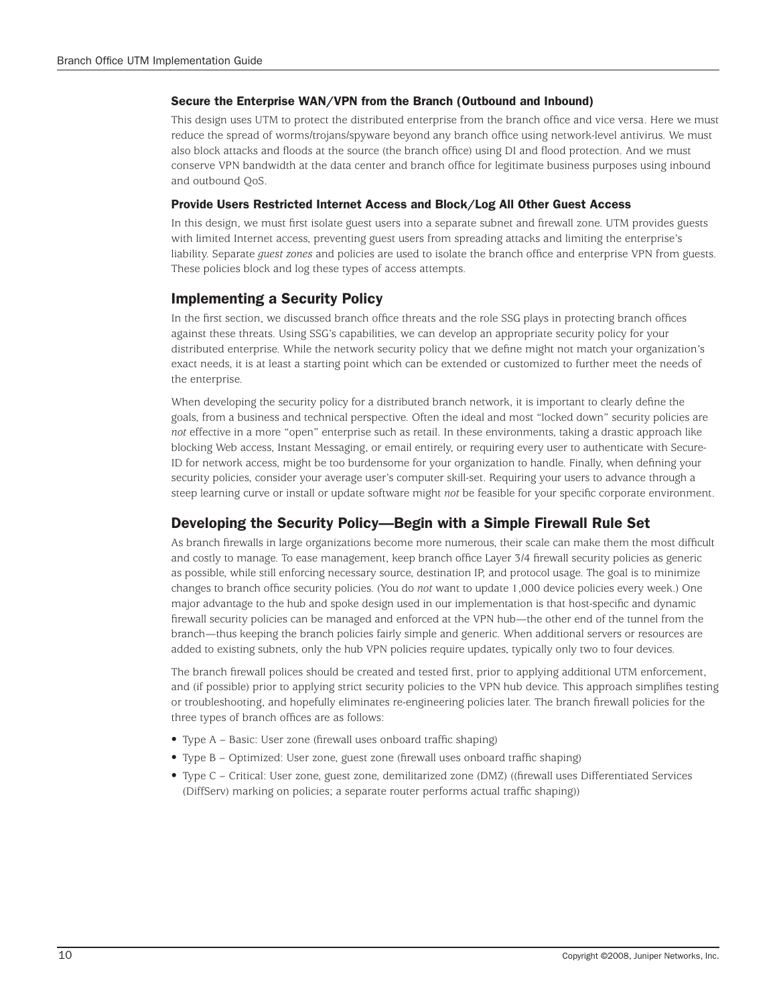#### Secure the Enterprise WAN/VPN from the Branch (Outbound and Inbound)

This design uses UTM to protect the distributed enterprise from the branch office and vice versa. Here we must reduce the spread of worms/trojans/spyware beyond any branch office using network-level antivirus. We must also block attacks and floods at the source (the branch office) using DI and flood protection. And we must conserve VPN bandwidth at the data center and branch office for legitimate business purposes using inbound and outbound QoS.

#### Provide Users Restricted Internet Access and Block/Log All Other Guest Access

In this design, we must first isolate guest users into a separate subnet and firewall zone. UTM provides guests with limited Internet access, preventing guest users from spreading attacks and limiting the enterprise's liability. Separate *guest zones* and policies are used to isolate the branch office and enterprise VPN from guests. These policies block and log these types of access attempts.

#### Implementing a Security Policy

In the first section, we discussed branch office threats and the role SSG plays in protecting branch offices against these threats. Using SSG's capabilities, we can develop an appropriate security policy for your distributed enterprise. While the network security policy that we define might not match your organization's exact needs, it is at least a starting point which can be extended or customized to further meet the needs of the enterprise.

When developing the security policy for a distributed branch network, it is important to clearly define the goals, from a business and technical perspective. Often the ideal and most "locked down" security policies are *not* effective in a more "open" enterprise such as retail. In these environments, taking a drastic approach like blocking Web access, Instant Messaging, or email entirely, or requiring every user to authenticate with Secure-ID for network access, might be too burdensome for your organization to handle. Finally, when defining your security policies, consider your average user's computer skill-set. Requiring your users to advance through a steep learning curve or install or update software might *not* be feasible for your specific corporate environment.

## Developing the Security Policy—Begin with a Simple Firewall Rule Set

As branch firewalls in large organizations become more numerous, their scale can make them the most difficult and costly to manage. To ease management, keep branch office Layer 3/4 firewall security policies as generic as possible, while still enforcing necessary source, destination IP, and protocol usage. The goal is to minimize changes to branch office security policies. (You do *not* want to update 1,000 device policies every week.) One major advantage to the hub and spoke design used in our implementation is that host-specific and dynamic firewall security policies can be managed and enforced at the VPN hub—the other end of the tunnel from the branch—thus keeping the branch policies fairly simple and generic. When additional servers or resources are added to existing subnets, only the hub VPN policies require updates, typically only two to four devices.

The branch firewall polices should be created and tested first, prior to applying additional UTM enforcement, and (if possible) prior to applying strict security policies to the VPN hub device. This approach simplifies testing or troubleshooting, and hopefully eliminates re-engineering policies later. The branch firewall policies for the three types of branch offices are as follows:

- Type A Basic: User zone (firewall uses onboard traffic shaping)
- • Type B Optimized: User zone, guest zone (firewall uses onboard traffic shaping)
- • Type C Critical: User zone, guest zone, demilitarized zone (DMZ) ((firewall uses Differentiated Services (DiffServ) marking on policies; a separate router performs actual traffic shaping))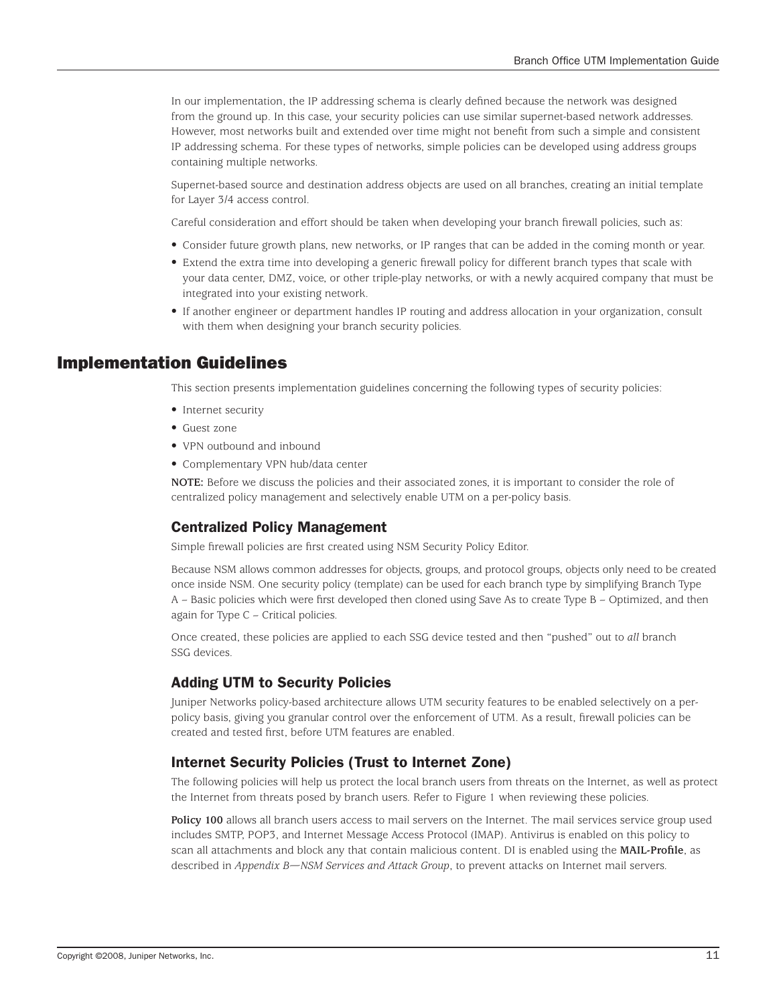In our implementation, the IP addressing schema is clearly defined because the network was designed from the ground up. In this case, your security policies can use similar supernet-based network addresses. However, most networks built and extended over time might not benefit from such a simple and consistent IP addressing schema. For these types of networks, simple policies can be developed using address groups containing multiple networks.

Supernet-based source and destination address objects are used on all branches, creating an initial template for Layer 3/4 access control.

Careful consideration and effort should be taken when developing your branch firewall policies, such as:

- • Consider future growth plans, new networks, or IP ranges that can be added in the coming month or year.
- Extend the extra time into developing a generic firewall policy for different branch types that scale with your data center, DMZ, voice, or other triple-play networks, or with a newly acquired company that must be integrated into your existing network.
- If another engineer or department handles IP routing and address allocation in your organization, consult with them when designing your branch security policies.

# Implementation Guidelines

This section presents implementation guidelines concerning the following types of security policies:

- Internet security
- Guest zone
- VPN outbound and inbound
- Complementary VPN hub/data center

**NOTE:** Before we discuss the policies and their associated zones, it is important to consider the role of centralized policy management and selectively enable UTM on a per-policy basis.

#### Centralized Policy Management

Simple firewall policies are first created using NSM Security Policy Editor.

Because NSM allows common addresses for objects, groups, and protocol groups, objects only need to be created once inside NSM. One security policy (template) can be used for each branch type by simplifying Branch Type A – Basic policies which were first developed then cloned using Save As to create Type B – Optimized, and then again for Type C – Critical policies.

Once created, these policies are applied to each SSG device tested and then "pushed" out to *all* branch SSG devices.

# Adding UTM to Security Policies

Juniper Networks policy-based architecture allows UTM security features to be enabled selectively on a perpolicy basis, giving you granular control over the enforcement of UTM. As a result, firewall policies can be created and tested first, before UTM features are enabled.

#### Internet Security Policies (Trust to Internet Zone)

The following policies will help us protect the local branch users from threats on the Internet, as well as protect the Internet from threats posed by branch users. Refer to Figure 1 when reviewing these policies.

**Policy 100** allows all branch users access to mail servers on the Internet. The mail services service group used includes SMTP, POP3, and Internet Message Access Protocol (IMAP). Antivirus is enabled on this policy to scan all attachments and block any that contain malicious content. DI is enabled using the **MAIL-Profile**, as described in *Appendix B—NSM Services and Attack Group*, to prevent attacks on Internet mail servers.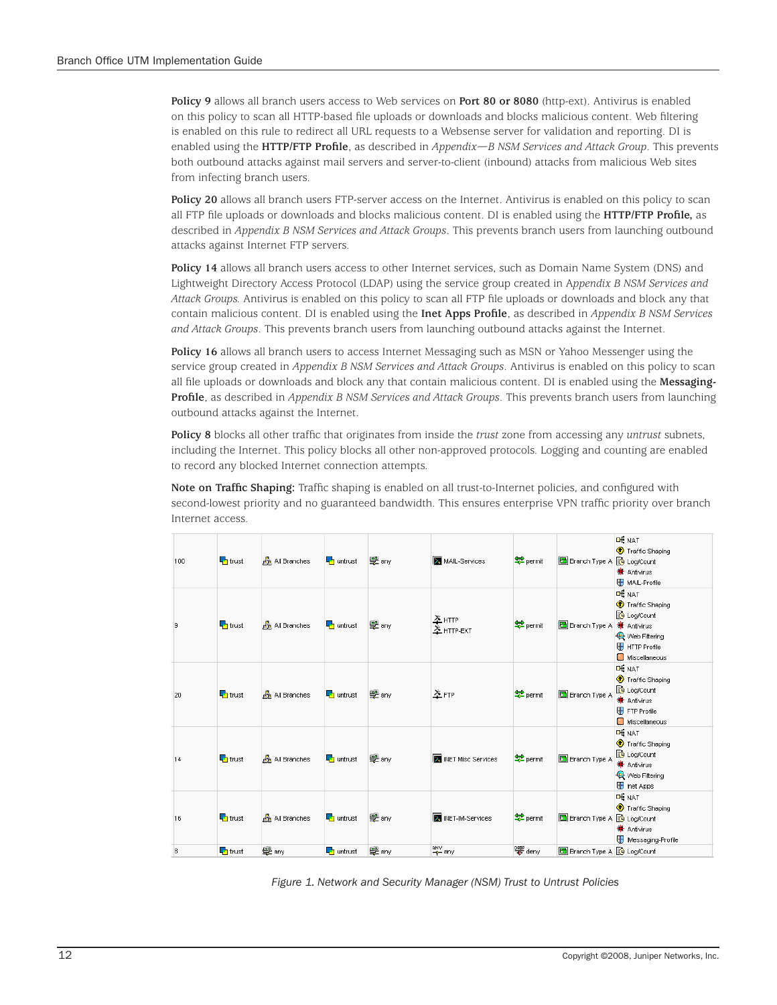**Policy 9** allows all branch users access to Web services on **Port 80 or 8080** (http-ext). Antivirus is enabled on this policy to scan all HTTP-based file uploads or downloads and blocks malicious content. Web filtering is enabled on this rule to redirect all URL requests to a Websense server for validation and reporting. DI is enabled using the **HTTP/FTP Profile**, as described in *Appendix—B NSM Services and Attack Group*. This prevents both outbound attacks against mail servers and server-to-client (inbound) attacks from malicious Web sites from infecting branch users.

**Policy 20** allows all branch users FTP-server access on the Internet. Antivirus is enabled on this policy to scan all FTP file uploads or downloads and blocks malicious content. DI is enabled using the **HTTP/FTP Profile,** as described in *Appendix B NSM Services and Attack Groups*. This prevents branch users from launching outbound attacks against Internet FTP servers.

**Policy 14** allows all branch users access to other Internet services, such as Domain Name System (DNS) and Lightweight Directory Access Protocol (LDAP) using the service group created in A*ppendix B NSM Services and Attack Groups.* Antivirus is enabled on this policy to scan all FTP file uploads or downloads and block any that contain malicious content. DI is enabled using the **Inet Apps Profile**, as described in *Appendix B NSM Services and Attack Groups*. This prevents branch users from launching outbound attacks against the Internet.

**Policy 16** allows all branch users to access Internet Messaging such as MSN or Yahoo Messenger using the service group created in *Appendix B NSM Services and Attack Groups*. Antivirus is enabled on this policy to scan all file uploads or downloads and block any that contain malicious content. DI is enabled using the **Messaging-Profile**, as described in *Appendix B NSM Services and Attack Groups*. This prevents branch users from launching outbound attacks against the Internet.

**Policy 8** blocks all other traffic that originates from inside the *trust* zone from accessing any *untrust* subnets, including the Internet. This policy blocks all other non-approved protocols. Logging and counting are enabled to record any blocked Internet connection attempts.

**Note on Traffic Shaping:** Traffic shaping is enabled on all trust-to-Internet policies, and configured with second-lowest priority and no guaranteed bandwidth. This ensures enterprise VPN traffic priority over branch Internet access.

| 100 | $\blacksquare$ trust      | <b>All Branches</b> | $\Box$ untrust        | 學 any | MAIL-Services          | $P$ permit           | Branch Type A & Log/Count            | <b>DE NAT</b><br>Traffic Shaping<br><b>米</b> Antivirus<br>MAIL-Profile                                              |
|-----|---------------------------|---------------------|-----------------------|-------|------------------------|----------------------|--------------------------------------|---------------------------------------------------------------------------------------------------------------------|
| l9. | $\blacksquare$ trust      | <b>All Branches</b> | $\Box$ untrust        | 學 any | $*$ нттр<br>X HTTP-EXT | $2$ permit           | <b>Branch Type A &amp; Antivirus</b> | <b>DE NAT</b><br>Traffic Shaping<br><b>B</b> Log/Count<br><b>Q</b> Web Filtering<br>HTTP Profile<br>Miscellaneous   |
| 20  | $\Gamma$ trust            | All Branches        | $\Box$ untrust        | 學 any | $\times$ FTP           | $P$ permit           | <b>B</b> Branch Type A               | <b>DE NAT</b><br>Traffic Shaping<br><b>B</b> Log/Count<br><b>洗</b> Antivirus<br>FTP Profile<br>Miscellaneous        |
| 14  | $\blacksquare$ trust      | All Branches        | $\Box$ untrust        | 學 any | X INET Misc Services   | $P$ permit           | Branch Type A                        | <b>DE NAT</b><br>Traffic Shaping<br><b>B</b> Log/Count<br><b>洗</b> Antivirus<br>Web Filtering<br><b>D</b> Inet Apps |
| 16  | $\blacksquare$ trust      | All Branches        | $\frac{1}{2}$ untrust | 學 any | X INET-IM-Services     | $\frac{1}{2}$ permit | Branch Type A & Log/Count            | <b>DE NAT</b><br>Traffic Shaping<br><b>米</b> Antivirus<br>Messaging-Profile                                         |
| 8   | $\Box$ <sub>1</sub> trust | 學 any               | <b>Th</b> untrust     | 學 any | any<br>+ any           | $\frac{ppp}{s}$ deny | Branch Type A & Log/Count            |                                                                                                                     |

*Figure 1. Network and Security Manager (NSM) Trust to Untrust Policies*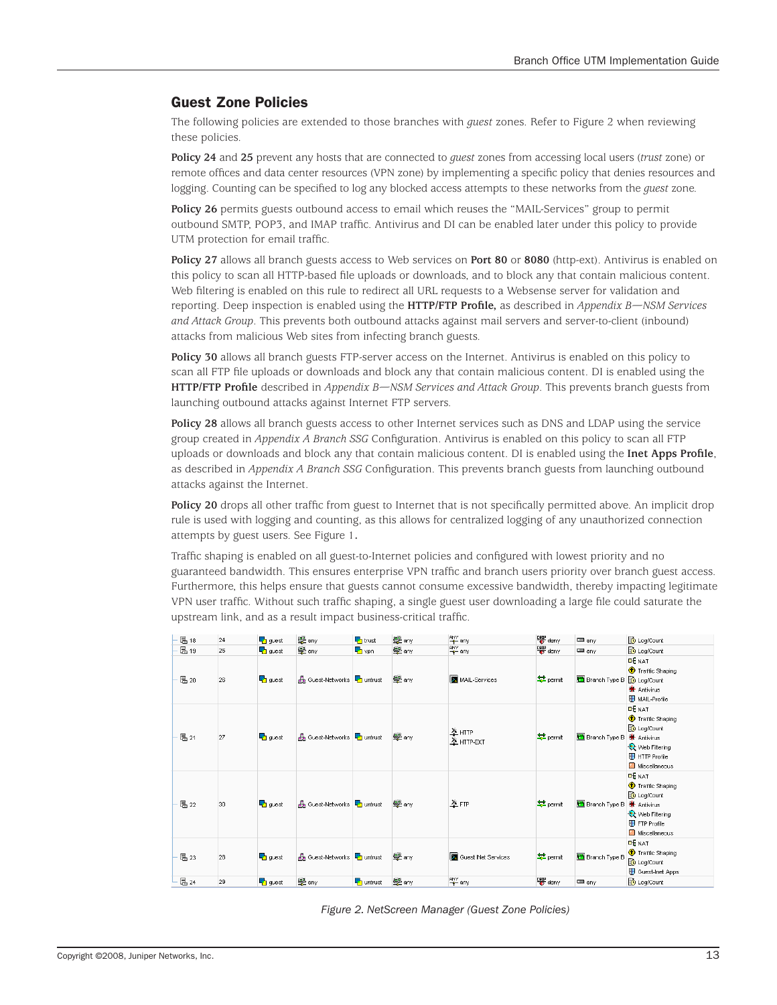# Guest Zone Policies

The following policies are extended to those branches with *guest* zones. Refer to Figure 2 when reviewing these policies.

**Policy 24** and **25** prevent any hosts that are connected to *guest* zones from accessing local users (*trust* zone) or remote offices and data center resources (VPN zone) by implementing a specific policy that denies resources and logging. Counting can be specified to log any blocked access attempts to these networks from the *guest* zone.

**Policy 26** permits guests outbound access to email which reuses the "MAIL-Services" group to permit outbound SMTP, POP3, and IMAP traffic. Antivirus and DI can be enabled later under this policy to provide UTM protection for email traffic.

**Policy 27** allows all branch guests access to Web services on **Port 80** or **8080** (http-ext). Antivirus is enabled on this policy to scan all HTTP-based file uploads or downloads, and to block any that contain malicious content. Web filtering is enabled on this rule to redirect all URL requests to a Websense server for validation and reporting. Deep inspection is enabled using the **HTTP/FTP Profile,** as described in *Appendix B—NSM Services and Attack Group*. This prevents both outbound attacks against mail servers and server-to-client (inbound) attacks from malicious Web sites from infecting branch guests.

**Policy 30** allows all branch guests FTP-server access on the Internet. Antivirus is enabled on this policy to scan all FTP file uploads or downloads and block any that contain malicious content. DI is enabled using the **HTTP/FTP Profile** described in *Appendix B—NSM Services and Attack Group*. This prevents branch guests from launching outbound attacks against Internet FTP servers.

**Policy 28** allows all branch guests access to other Internet services such as DNS and LDAP using the service group created in *Appendix A Branch SSG* Configuration. Antivirus is enabled on this policy to scan all FTP uploads or downloads and block any that contain malicious content. DI is enabled using the **Inet Apps Profile**, as described in *Appendix A Branch SSG* Configuration. This prevents branch guests from launching outbound attacks against the Internet.

**Policy 20** drops all other traffic from guest to Internet that is not specifically permitted above. An implicit drop rule is used with logging and counting, as this allows for centralized logging of any unauthorized connection attempts by guest users. See Figure 1**.**

Traffic shaping is enabled on all guest-to-Internet policies and configured with lowest priority and no guaranteed bandwidth. This ensures enterprise VPN traffic and branch users priority over branch guest access. Furthermore, this helps ensure that guests cannot consume excessive bandwidth, thereby impacting legitimate VPN user traffic. Without such traffic shaping, a single guest user downloading a large file could saturate the upstream link, and as a result impact business-critical traffic.

| B 18        | 24 | $\frac{1}{2}$ guest            | 學 any                                      | $\Gamma$ trust | 學 any | any any                                 | 먷 deny    | m any                            | <b>O</b> Log/Count                                                                                                         |
|-------------|----|--------------------------------|--------------------------------------------|----------------|-------|-----------------------------------------|-----------|----------------------------------|----------------------------------------------------------------------------------------------------------------------------|
| B 19        | 25 | <b>b</b> guest                 | 學 any                                      | <b>b</b> vpn   | 學any  | any any                                 | ORUP deny | $\blacksquare$ any               | <b>to</b> Log/Count                                                                                                        |
| <b>巴20</b>  | 26 | <b>b</b> guest                 | <b>State Cuest-Networks T</b> untrust      |                | 學 any | MAIL-Services                           | permit    | Branch Type B & Log/Count        | <b>DE NAT</b><br>Traffic Shaping<br><sup>St</sup> Antivirus<br>MAIL-Profile                                                |
| 昌21         | 27 | <b>F</b> guest                 | <b>Sta</b> Guest-Networks <b>T</b> untrust |                | 學 any | $\frac{\times}{2}$ HTTP<br>$x$ http-ext | permit    | Branch Type B                    | <b>DE NAT</b><br>Traffic Shaping<br>tog/Count<br><sup>St</sup> Antivirus<br>Web Filtering<br>HTTP Profile<br>Miscellaneous |
| <b>巴</b> 22 | 30 | <b>b</b> guest                 | <b>Street-Networks To untrust</b>          |                | 皇 any | $\times$ FTP                            | permit    | Branch Type B <b>*</b> Antivirus | <b>DE NAT</b><br>Traffic Shaping<br>Log/Count<br>Web Filtering<br>FTP Profile<br>Miscellaneous                             |
| <b>巴</b> 23 | 28 | $\overline{\phantom{a}}$ guest | <b>Street-Networks To untrust</b>          |                | 學 any | Guest INet Services                     | permit    | <b>B</b> Branch Type B           | <b>DE NAT</b><br>Traffic Shaping<br>tog/Count<br>Guest-Inet Apps                                                           |
| <b>昆24</b>  | 29 | <b>L</b> guest                 | 學 any                                      | untrust        | 學any  | ANY any                                 | 먷 deny    | m any                            | Log/Count                                                                                                                  |

*Figure 2. NetScreen Manager (Guest Zone Policies)*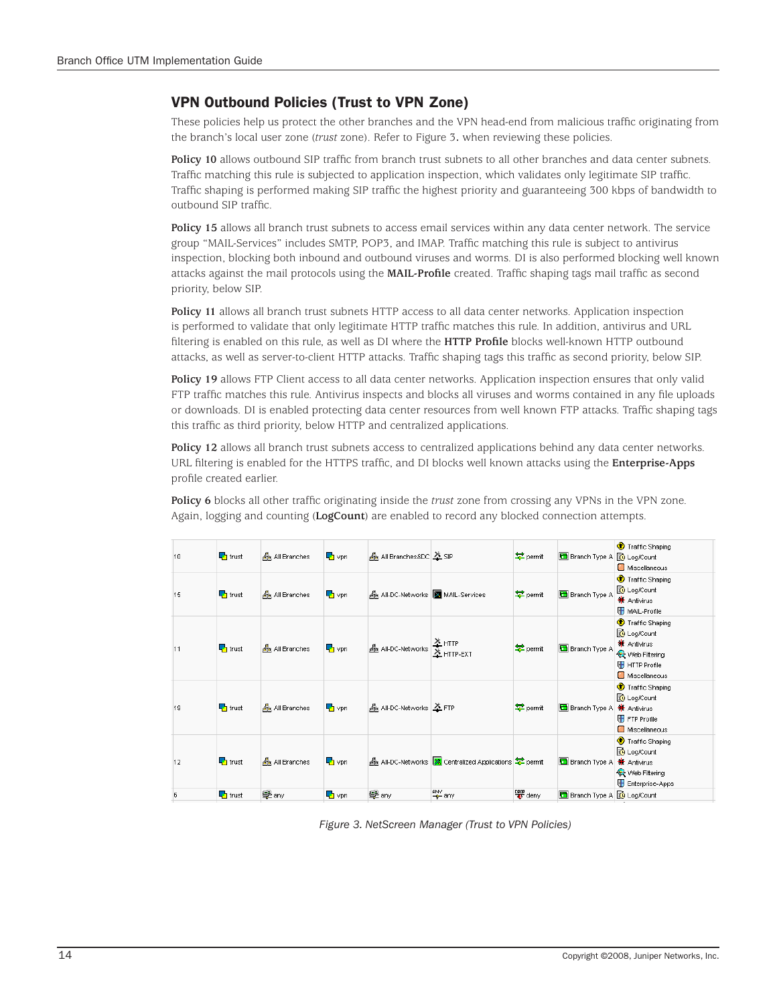# VPN Outbound Policies (Trust to VPN Zone)

These policies help us protect the other branches and the VPN head-end from malicious traffic originating from the branch's local user zone (*trust* zone). Refer to Figure 3**.** when reviewing these policies.

**Policy 10** allows outbound SIP traffic from branch trust subnets to all other branches and data center subnets. Traffic matching this rule is subjected to application inspection, which validates only legitimate SIP traffic. Traffic shaping is performed making SIP traffic the highest priority and guaranteeing 300 kbps of bandwidth to outbound SIP traffic.

**Policy 15** allows all branch trust subnets to access email services within any data center network. The service group "MAIL-Services" includes SMTP, POP3, and IMAP. Traffic matching this rule is subject to antivirus inspection, blocking both inbound and outbound viruses and worms. DI is also performed blocking well known attacks against the mail protocols using the **MAIL-Profile** created. Traffic shaping tags mail traffic as second priority, below SIP.

**Policy 11** allows all branch trust subnets HTTP access to all data center networks. Application inspection is performed to validate that only legitimate HTTP traffic matches this rule. In addition, antivirus and URL filtering is enabled on this rule, as well as DI where the **HTTP Profile** blocks well-known HTTP outbound attacks, as well as server-to-client HTTP attacks. Traffic shaping tags this traffic as second priority, below SIP.

**Policy 19** allows FTP Client access to all data center networks. Application inspection ensures that only valid FTP traffic matches this rule. Antivirus inspects and blocks all viruses and worms contained in any file uploads or downloads. DI is enabled protecting data center resources from well known FTP attacks. Traffic shaping tags this traffic as third priority, below HTTP and centralized applications.

**Policy 12** allows all branch trust subnets access to centralized applications behind any data center networks. URL filtering is enabled for the HTTPS traffic, and DI blocks well known attacks using the **Enterprise-Apps** profile created earlier.

**Policy 6** blocks all other traffic originating inside the *trust* zone from crossing any VPNs in the VPN zone. Again, logging and counting (**LogCount**) are enabled to record any blocked connection attempts.

| 10       | $\blacksquare$ <sub>1</sub> trust | <b>All Branches</b>     | $\nabla$ vpn | 晶 All Branches&DC 2 SIP           |                                                       | $2$ permit           | Branch Type A & Log/Count        | Traffic Shaping<br>Miscellaneous                                                                                        |
|----------|-----------------------------------|-------------------------|--------------|-----------------------------------|-------------------------------------------------------|----------------------|----------------------------------|-------------------------------------------------------------------------------------------------------------------------|
| 15       | $\blacksquare$ trust              | All Branches            | $\Gamma$ vpn | 品 All-DC-Networks 2 MAIL-Services |                                                       | $2$ permit           | <b>B</b> Branch Type A           | Traffic Shaping<br><b>B</b> Log/Count<br><b>SE</b> Antivirus<br>MAIL-Profile                                            |
| 11       | $\blacksquare$ trust              | <b>B</b> All Branches   | $\nabla$ vpn | <b>B</b> All-DC-Networks X HTTP   |                                                       | $P$ permit           | <b>B</b> Branch Type A           | Traffic Shaping<br><b>B</b> Log/Count<br><b>SE</b> Antivirus<br><b>Q</b> Web Filtering<br>HTTP Profile<br>Miscellaneous |
| 19       | $\Gamma$ trust                    | <b>St.</b> All Branches | $\Gamma$ vpn | 晶 All-DC-Networks <u>X</u> FTP    |                                                       | $p_{\text{ermit}}$   | <b>Branch Type A 兼 Antivirus</b> | Traffic Shaping<br><b>B</b> Log/Count<br>FTP Profile<br>Miscellaneous                                                   |
| 12       | $\Gamma$ trust                    | 品 All Branches          | $\nabla$ vpn |                                   | All-DC-Networks   Sentralized Applications   우 permit |                      | Branch Type A                    | Traffic Shaping<br>tog/Count<br><b>*</b> Antivirus<br>Web Filtering<br>Enterprise-Apps                                  |
| <b>B</b> | $\Gamma$ trust                    | 學 any                   | $\Gamma$ vpn | 學 any                             | ANY any                                               | $\frac{DRP}{C}$ deny | Branch Type A & Log/Count        |                                                                                                                         |

*Figure 3. NetScreen Manager (Trust to VPN Policies)*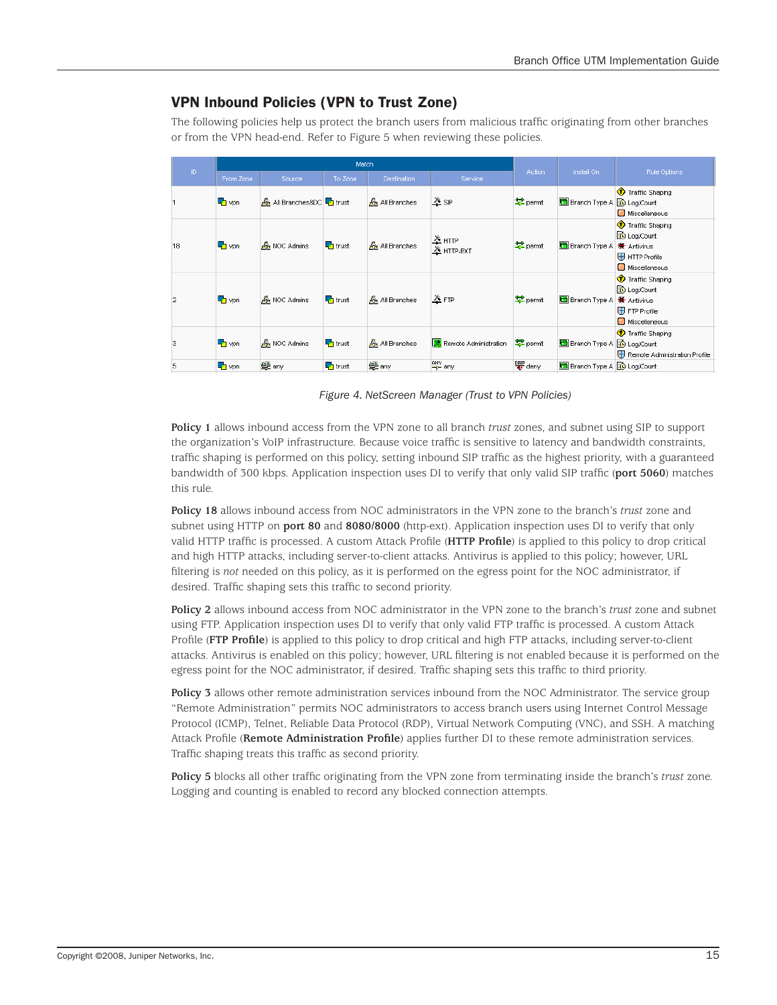# VPN Inbound Policies (VPN to Trust Zone)

The following policies help us protect the branch users from malicious traffic originating from other branches or from the VPN head-end. Refer to Figure 5 when reviewing these policies.

| $\mathbb{D}$   |              |                                             | Match                     |                       |                                        | Install On            | Rule Options               |                                                                                        |  |
|----------------|--------------|---------------------------------------------|---------------------------|-----------------------|----------------------------------------|-----------------------|----------------------------|----------------------------------------------------------------------------------------|--|
|                | From Zone    | Source                                      | To Zone                   | <b>Destination</b>    | Service                                | Action                |                            |                                                                                        |  |
|                | $\Gamma$ vpn | நித் All Branches&DC <mark>– h</mark> trust |                           | <b>All Branches</b>   | $\times$ SIP                           | permit                | Branch Type A to Log/Count | Traffic Shaping<br>Miscellaneous                                                       |  |
| 18             | $\Gamma$ vpn | <b>B</b> NOC Admins                         | $\Box$ <sub>1</sub> trust | <b>B</b> All Branches | $\frac{\lambda}{2}$ HTTP<br>X HTTP-EXT | permit                | Branch Type A              | Traffic Shaping<br>tog/Count<br><b>*</b> Antivirus<br>HTTP Profile<br>Miscellaneous    |  |
| $\overline{2}$ | $\nabla$ vpn | <b>B</b> <sub>R</sub> NOC Admins            | $\frac{1}{2}$ trust       | <b>All Branches</b>   | $X$ FTP                                | $2$ permit            | Branch Type A              | Traffic Shaping<br>tog/Count<br><b>a</b> Antivirus<br>$H$ FTP Profile<br>Miscellaneous |  |
| 3              | $\Gamma$ vpn | <b>A</b> NOC Admins                         | $\n  1\n 1$ trust         | All Branches          | <b>X</b> Remote Administration         | permit                | Branch Type A to Log/Count | Traffic Shaping<br>Remote Administration Profile                                       |  |
| 5              | $\Gamma$ vpn | 學 any                                       | $\frac{1}{2}$ trust       | 學 any                 | ANY any                                | $\frac{DRP}{45}$ deny | Branch Type A & Log/Count  |                                                                                        |  |

*Figure 4. NetScreen Manager (Trust to VPN Policies)*

**Policy 1** allows inbound access from the VPN zone to all branch *trust* zones, and subnet using SIP to support the organization's VoIP infrastructure. Because voice traffic is sensitive to latency and bandwidth constraints, traffic shaping is performed on this policy, setting inbound SIP traffic as the highest priority, with a guaranteed bandwidth of 300 kbps. Application inspection uses DI to verify that only valid SIP traffic (**port 5060**) matches this rule.

**Policy 18** allows inbound access from NOC administrators in the VPN zone to the branch's *trust* zone and subnet using HTTP on **port 80** and **8080/8000** (http-ext). Application inspection uses DI to verify that only valid HTTP traffic is processed. A custom Attack Profile (**HTTP Profile**) is applied to this policy to drop critical and high HTTP attacks, including server-to-client attacks. Antivirus is applied to this policy; however, URL filtering is *not* needed on this policy, as it is performed on the egress point for the NOC administrator, if desired. Traffic shaping sets this traffic to second priority.

**Policy 2** allows inbound access from NOC administrator in the VPN zone to the branch's *trust* zone and subnet using FTP. Application inspection uses DI to verify that only valid FTP traffic is processed. A custom Attack Profile (**FTP Profile**) is applied to this policy to drop critical and high FTP attacks, including server-to-client attacks. Antivirus is enabled on this policy; however, URL filtering is not enabled because it is performed on the egress point for the NOC administrator, if desired. Traffic shaping sets this traffic to third priority.

**Policy 3** allows other remote administration services inbound from the NOC Administrator. The service group "Remote Administration" permits NOC administrators to access branch users using Internet Control Message Protocol (ICMP), Telnet, Reliable Data Protocol (RDP), Virtual Network Computing (VNC), and SSH. A matching Attack Profile (**Remote Administration Profile**) applies further DI to these remote administration services. Traffic shaping treats this traffic as second priority.

**Policy 5** blocks all other traffic originating from the VPN zone from terminating inside the branch's *trust* zone. Logging and counting is enabled to record any blocked connection attempts.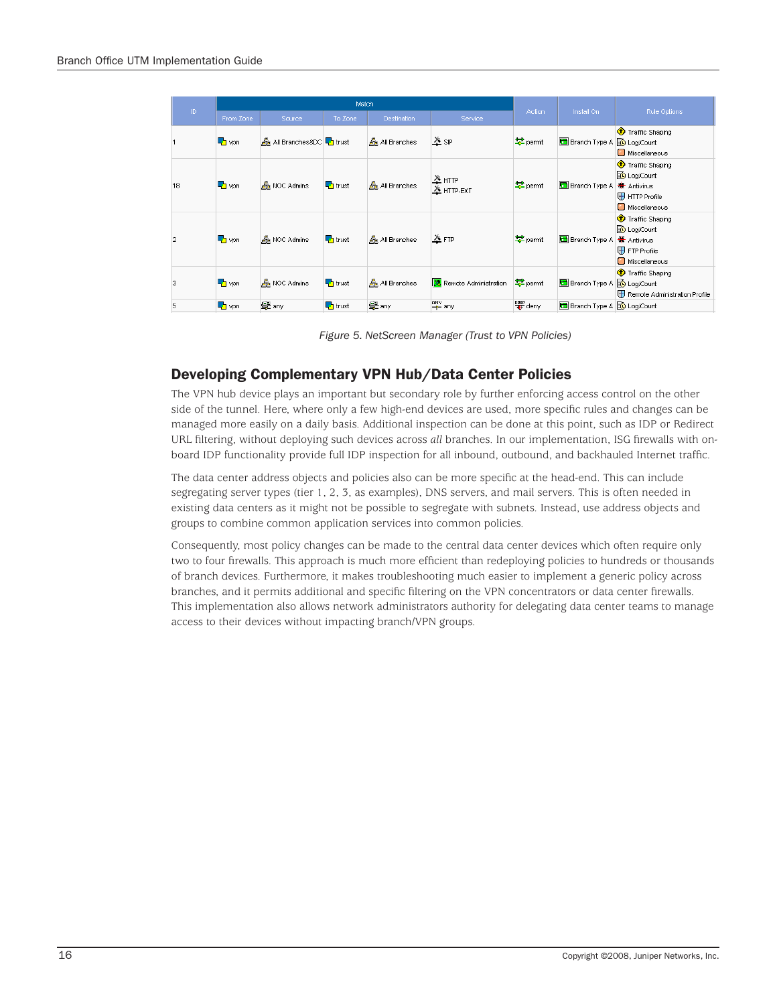|                |                               |                                  | Match                     |                     |                                          |               |                                   |                                                                                       |
|----------------|-------------------------------|----------------------------------|---------------------------|---------------------|------------------------------------------|---------------|-----------------------------------|---------------------------------------------------------------------------------------|
| ID.            | From Zone                     | Source                           | To Zone                   | <b>Destination</b>  | Service                                  | <b>Action</b> | Install On                        | Rule Options                                                                          |
|                | $\Gamma$ vpn                  | All Branches&DC + trust          |                           | All Branches        | $\times$ SIP                             | permit        | Branch Type A & Log/Count         | Traffic Shaping<br>Miscellaneous                                                      |
| 18             | <b>L</b> vpn                  | <b>B</b> NOC Admins              | $\Box$ <sub>1</sub> trust | <b>All Branches</b> | $\frac{\lambda}{2}$ HTTP<br>$X$ HTTP-EXT | $P$ permit    | Branch Type A                     | Traffic Shaping<br>Log/Count<br><b>St</b> Antivirus<br>HTTP Profile<br>Miscellaneous  |
| $\overline{2}$ | $\mathbb{F}_{\mathbf{1}}$ vpn | <b>A</b> NOC Admins              | $\Box$ <sub>1</sub> trust | All Branches        | $\times$ FTP                             | permit        | Branch Type A                     | Traffic Shaping<br>tog/Count<br><del></del> Antivirus<br>FTP Profile<br>Miscellaneous |
| 3              | $\Gamma$ vpn                  | <b>B</b> <sub>R</sub> NOC Admins | $\Gamma$ trust            | All Branches        | <b>X</b> Remote Administration           | $P$ permit    | <b>Branch Type A</b>              | Traffic Shaping<br><b>B</b> Log/Count<br>Remote Administration Profile                |
| 5              | $\mathbb{F}_{\mathbf{D}}$ vpn | 學 any                            | $\Box$ <sub>1</sub> trust | 學 any               | any any                                  | 먷 deny        | Branch Type A <b>to Log/Count</b> |                                                                                       |

*Figure 5. NetScreen Manager (Trust to VPN Policies)*

# Developing Complementary VPN Hub/Data Center Policies

The VPN hub device plays an important but secondary role by further enforcing access control on the other side of the tunnel. Here, where only a few high-end devices are used, more specific rules and changes can be managed more easily on a daily basis. Additional inspection can be done at this point, such as IDP or Redirect URL filtering, without deploying such devices across *all* branches. In our implementation, ISG firewalls with onboard IDP functionality provide full IDP inspection for all inbound, outbound, and backhauled Internet traffic.

The data center address objects and policies also can be more specific at the head-end. This can include segregating server types (tier 1, 2, 3, as examples), DNS servers, and mail servers. This is often needed in existing data centers as it might not be possible to segregate with subnets. Instead, use address objects and groups to combine common application services into common policies.

Consequently, most policy changes can be made to the central data center devices which often require only two to four firewalls. This approach is much more efficient than redeploying policies to hundreds or thousands of branch devices. Furthermore, it makes troubleshooting much easier to implement a generic policy across branches, and it permits additional and specific filtering on the VPN concentrators or data center firewalls. This implementation also allows network administrators authority for delegating data center teams to manage access to their devices without impacting branch/VPN groups.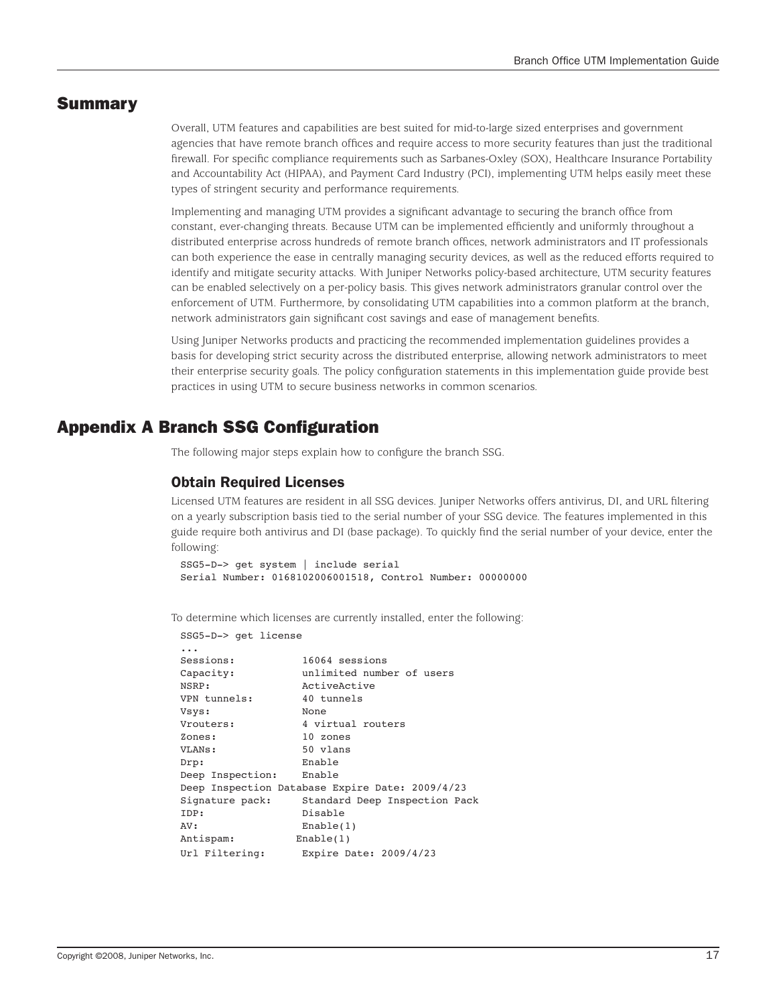# Summary

Overall, UTM features and capabilities are best suited for mid-to-large sized enterprises and government agencies that have remote branch offices and require access to more security features than just the traditional firewall. For specific compliance requirements such as Sarbanes-Oxley (SOX), Healthcare Insurance Portability and Accountability Act (HIPAA), and Payment Card Industry (PCI), implementing UTM helps easily meet these types of stringent security and performance requirements.

Implementing and managing UTM provides a significant advantage to securing the branch office from constant, ever-changing threats. Because UTM can be implemented efficiently and uniformly throughout a distributed enterprise across hundreds of remote branch offices, network administrators and IT professionals can both experience the ease in centrally managing security devices, as well as the reduced efforts required to identify and mitigate security attacks. With Juniper Networks policy-based architecture, UTM security features can be enabled selectively on a per-policy basis. This gives network administrators granular control over the enforcement of UTM. Furthermore, by consolidating UTM capabilities into a common platform at the branch, network administrators gain significant cost savings and ease of management benefits.

Using Juniper Networks products and practicing the recommended implementation guidelines provides a basis for developing strict security across the distributed enterprise, allowing network administrators to meet their enterprise security goals. The policy configuration statements in this implementation guide provide best practices in using UTM to secure business networks in common scenarios.

# Appendix A Branch SSG Configuration

The following major steps explain how to configure the branch SSG.

#### Obtain Required Licenses

Licensed UTM features are resident in all SSG devices. Juniper Networks offers antivirus, DI, and URL filtering on a yearly subscription basis tied to the serial number of your SSG device. The features implemented in this guide require both antivirus and DI (base package). To quickly find the serial number of your device, enter the following:

```
SSG5-D-> get system | include serial 
Serial Number: 0168102006001518, Control Number: 00000000
```
To determine which licenses are currently installed, enter the following:

```
SSG5-D-> get license
...
Sessions: 16064 sessions
Capacity: unlimited number of users
NSRP: ActiveActive
VPN tunnels: 40 tunnels
Vsys: None
Vrouters: 4 virtual routers
Zones: 10 zones
VLANs: 50 vlans
Drp: Enable
Deep Inspection: Enable
Deep Inspection Database Expire Date: 2009/4/23
Signature pack: Standard Deep Inspection Pack
IDP: Disable
AV: Enable(1)
Antispam: Enable(1)
Url Filtering: Expire Date: 2009/4/23
```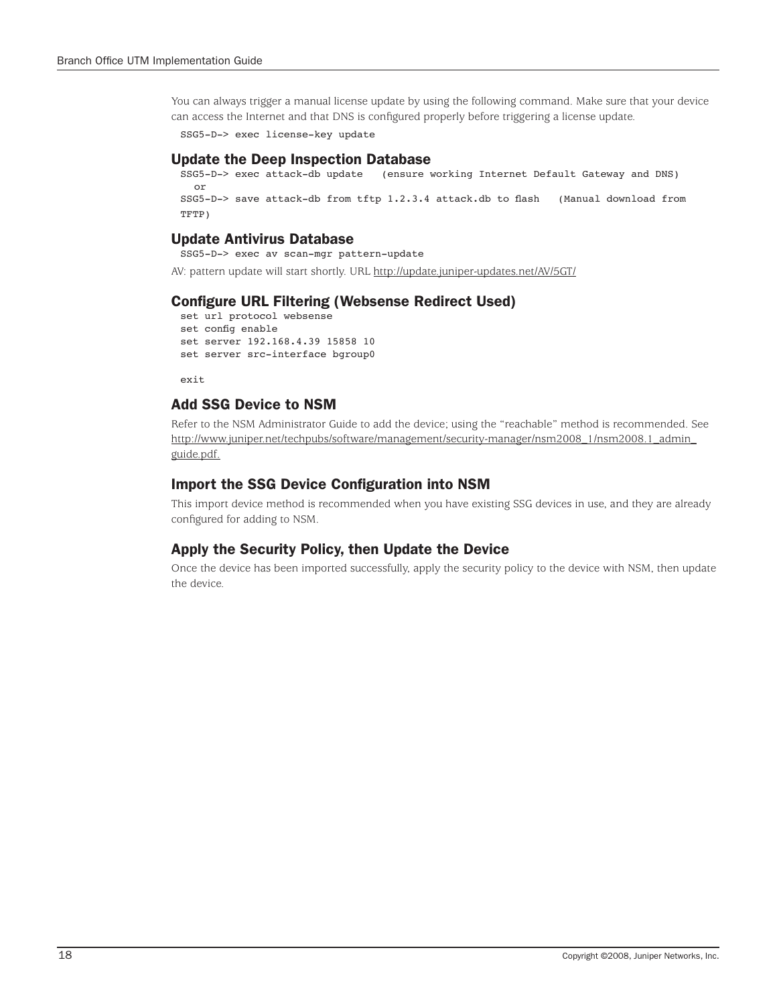You can always trigger a manual license update by using the following command. Make sure that your device can access the Internet and that DNS is configured properly before triggering a license update.

```
SSG5-D-> exec license-key update
```
### Update the Deep Inspection Database

```
SSG5-D-> exec attack-db update (ensure working Internet Default Gateway and DNS)
  or
SSG5-D-> save attack-db from tftp 1.2.3.4 attack.db to flash (Manual download from 
TFTP)
```
# Update Antivirus Database

SSG5-D-> exec av scan-mgr pattern-update

AV: pattern update will start shortly. URL http://update.juniper-updates.net/AV/5GT/

# Configure URL Filtering (Websense Redirect Used)

```
set url protocol websense
set config enable
set server 192.168.4.39 15858 10
set server src-interface bgroup0
```
exit

# Add SSG Device to NSM

Refer to the NSM Administrator Guide to add the device; using the "reachable" method is recommended. See http://www.juniper.net/techpubs/software/management/security-manager/nsm2008\_1/nsm2008.1\_admin\_ guide.pdf.

# Import the SSG Device Configuration into NSM

This import device method is recommended when you have existing SSG devices in use, and they are already configured for adding to NSM.

# Apply the Security Policy, then Update the Device

Once the device has been imported successfully, apply the security policy to the device with NSM, then update the device.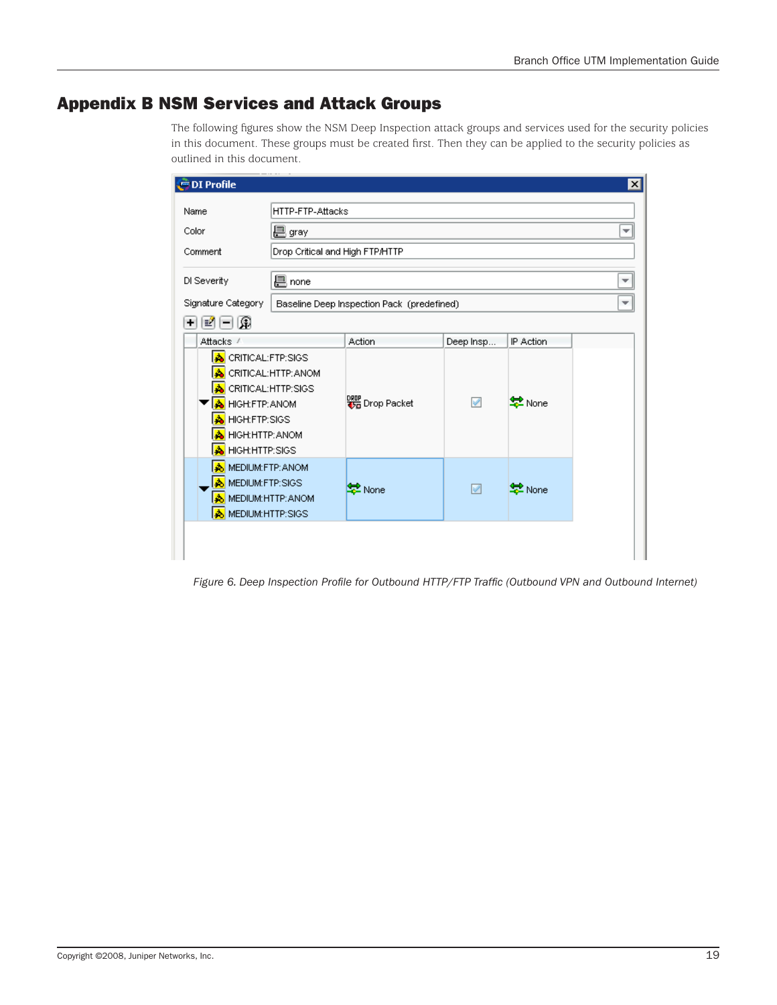# Appendix B NSM Services and Attack Groups

The following figures show the NSM Deep Inspection attack groups and services used for the security policies in this document. These groups must be created first. Then they can be applied to the security policies as outlined in this document.

| <b>OI</b> Profile                                                                                      |                                                                                   |                                            |           |           | ×                        |  |  |
|--------------------------------------------------------------------------------------------------------|-----------------------------------------------------------------------------------|--------------------------------------------|-----------|-----------|--------------------------|--|--|
| Name<br>Color<br>Comment<br>DI Severity                                                                | HTTP-FTP-Attacks<br>巴 gray<br>÷<br>Drop Critical and High FTP/HTTP<br>巴 none<br>▼ |                                            |           |           |                          |  |  |
| Signature Category                                                                                     |                                                                                   | Baseline Deep Inspection Pack (predefined) |           |           | $\overline{\phantom{a}}$ |  |  |
| 一岡<br>뼥<br>٠                                                                                           |                                                                                   |                                            |           |           |                          |  |  |
| Attacks /                                                                                              |                                                                                   | Action                                     | Deep Insp | IP Action |                          |  |  |
| <b>A</b> CRITICAL:FTP:SIGS<br>A HIGH:FTP: ANOM<br>HIGH:FTP:SIGS<br>A HIGH:HTTP: ANOM<br>HIGH:HTTP:SIGS | CRITICAL:HTTP: ANOM<br>CRITICAL:HTTP:SIGS                                         | DRIP Drop Packet                           | ✔         | 学 None    |                          |  |  |
| MEDIUM:FTP: ANOM<br>A MEDIUM:FTP:SIGS<br>MEDIUM:HTTP: ANOM<br>A MEDIUM:HTTP:SIGS                       |                                                                                   | 掌 None                                     | V         | ‡⊉ None   |                          |  |  |
|                                                                                                        |                                                                                   |                                            |           |           |                          |  |  |

*Figure 6. Deep Inspection Profile for Outbound HTTP/FTP Traffic (Outbound VPN and Outbound Internet)*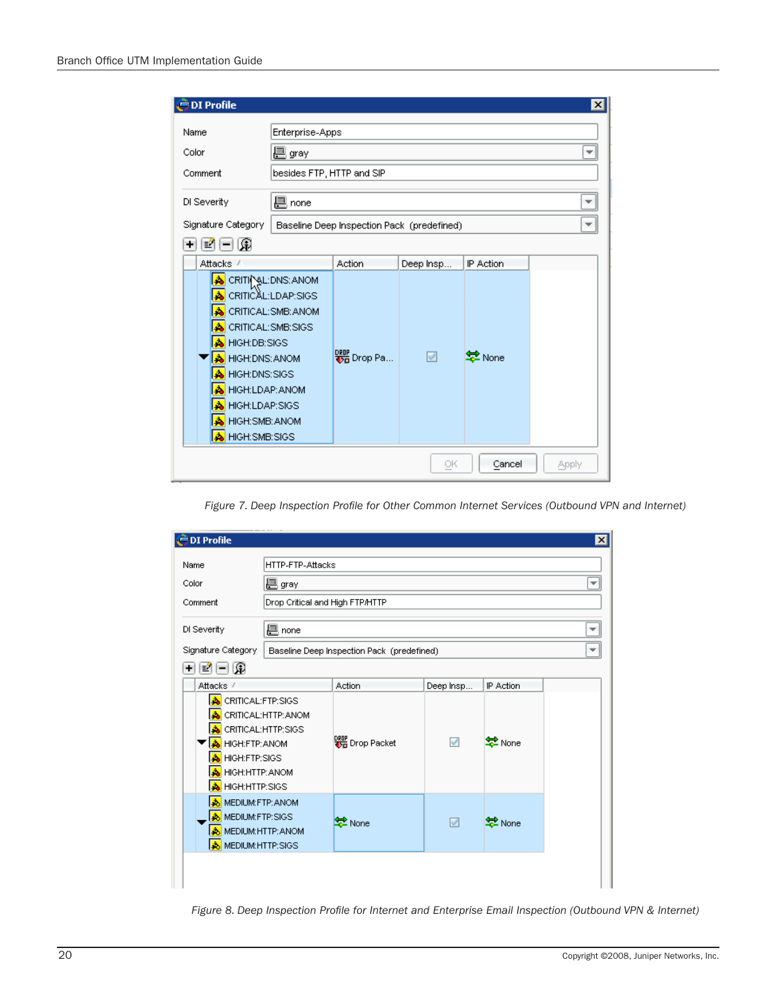| <b>DI Profile</b>                                                                                                                                                                                                                              |                                            |           |                     | $\vert x \vert$ |
|------------------------------------------------------------------------------------------------------------------------------------------------------------------------------------------------------------------------------------------------|--------------------------------------------|-----------|---------------------|-----------------|
| Enterprise-Apps<br>Name                                                                                                                                                                                                                        |                                            |           |                     |                 |
| Color<br>巴 gray                                                                                                                                                                                                                                |                                            |           |                     |                 |
| Comment                                                                                                                                                                                                                                        | besides FTP, HTTP and SIP                  |           |                     |                 |
| 凰 none<br>DI Severity                                                                                                                                                                                                                          |                                            |           |                     |                 |
| Signature Category                                                                                                                                                                                                                             | Baseline Deep Inspection Pack (predefined) |           |                     |                 |
| 日園<br>÷<br>톜                                                                                                                                                                                                                                   |                                            |           |                     |                 |
| Attacks /                                                                                                                                                                                                                                      | Action                                     | Deep Insp | IP Action           |                 |
| CRITIC SL: DNS: ANOM<br>ها<br>CRITICAL:LDAP:SIGS<br>CRITICAL: SMB: ANOM<br>CRITICAL:SMB:SIGS<br>A HIGH:DB:SIGS<br>A HIGH:DNS: ANOM<br>HIGH: DNS: SIGS<br>HIGH:LDAP: ANOM<br><b>HIGH:LDAP:SIGS</b><br><b>HIGH: SMB: ANOM</b><br>HIGH: SMB: SIGS | <mark>°re</mark> Drop Pa                   | V         | ই <sup>2</sup> None |                 |
|                                                                                                                                                                                                                                                |                                            | ОK        | Cancel              | Apply           |

*Figure 7. Deep Inspection Profile for Other Common Internet Services (Outbound VPN and Internet)*

| <b>OI</b> Profile                                                                                                                              |                                 |                                            |           |               | $\vert x \vert$ |  |  |  |
|------------------------------------------------------------------------------------------------------------------------------------------------|---------------------------------|--------------------------------------------|-----------|---------------|-----------------|--|--|--|
| Name                                                                                                                                           | HTTP-FTP-Attacks                |                                            |           |               |                 |  |  |  |
| Color                                                                                                                                          | 巴 gray                          |                                            |           |               | ٠               |  |  |  |
| Comment                                                                                                                                        | Drop Critical and High FTP/HTTP |                                            |           |               |                 |  |  |  |
| DI Severity                                                                                                                                    | 但 none                          |                                            |           |               |                 |  |  |  |
| Signature Category                                                                                                                             |                                 | Baseline Deep Inspection Pack (predefined) |           |               |                 |  |  |  |
| -109<br>۰<br>력                                                                                                                                 |                                 |                                            |           |               |                 |  |  |  |
| Attacks /                                                                                                                                      |                                 | Action                                     | Deep Insp | IP Action     |                 |  |  |  |
| <b>A</b> CRITICAL:FTP:SIGS<br><b>A</b> CRITICAL:HTTP:SIGS<br>A HIGH:FTP: ANOM<br>A HIGH:FTP:SIGS<br><b>A</b> HIGH:HTTP: ANOM<br>HIGH:HTTP:SIGS | CRITICAL:HTTP: ANOM             | 器 Drop Packet                              | ✔         | <b>E</b> None |                 |  |  |  |
| MEDIUM:FTP: ANOM<br>MEDIUM:FTP:SIGS<br>٨I<br><b>A</b> MEDIUM: HTTP: ANOM<br><b>A</b> MEDIUM:HTTP:SIGS                                          |                                 | 분<br>None                                  | V         | 掌 None        |                 |  |  |  |
|                                                                                                                                                |                                 |                                            |           |               |                 |  |  |  |

*Figure 8. Deep Inspection Profile for Internet and Enterprise Email Inspection (Outbound VPN & Internet)*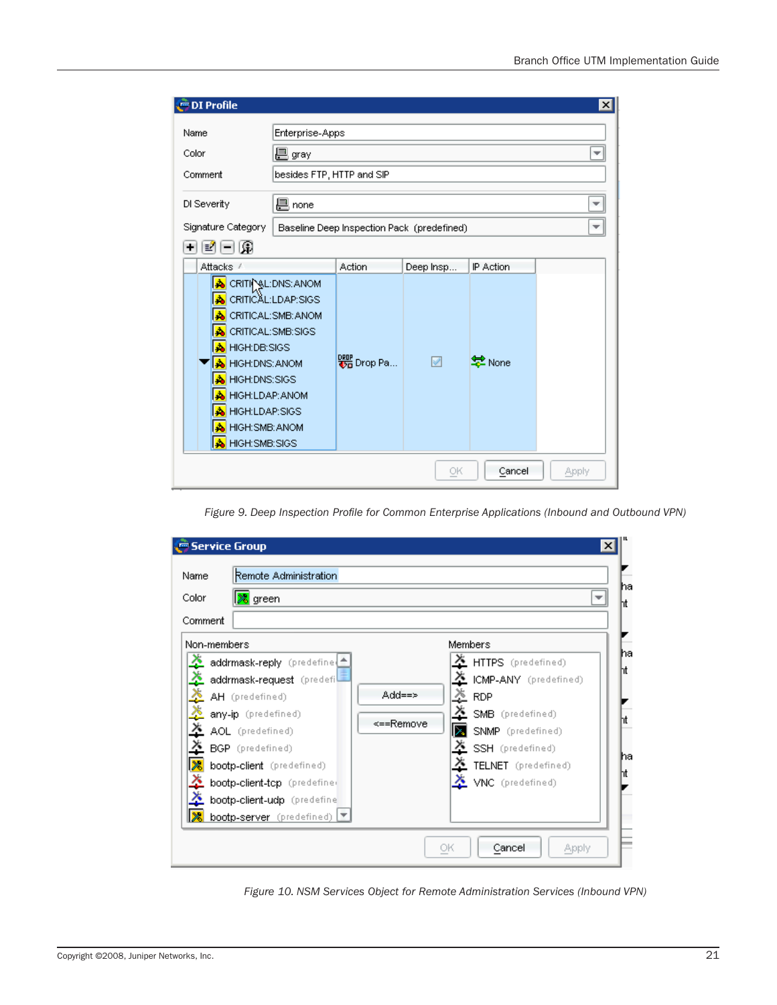| <b>OI</b> Profile                                                                                                                                                                                                          |                                                                   |                        |                |                                  | $\vert x \vert$ |
|----------------------------------------------------------------------------------------------------------------------------------------------------------------------------------------------------------------------------|-------------------------------------------------------------------|------------------------|----------------|----------------------------------|-----------------|
| Enterprise-Apps<br>Name<br>巴 gray<br>Color<br>▼<br>besides FTP, HTTP and SIP<br>Comment<br>巴 none<br>DI Severity<br>Signature Category<br>Baseline Deep Inspection Pack (predefined)                                       |                                                                   |                        |                |                                  |                 |
| -109<br>٠<br>택<br>Attacks /<br>l۵<br>CRITICAL:SMB:SIGS<br>HIGH:DB:SIGS<br>A<br><b>HIGH:DNS: ANOM</b><br>HIGH: DNS: SIGS<br>Δ<br>HIGH:LDAP: ANOM<br>Δ<br><b>HIGH:LDAP:SIGS</b><br>A<br>HIGH: SMB: ANOM<br>A HIGH: SMB: SIGS | CRITIC SL: DNS: ANOM<br>CRITICAL:LDAP:SIGS<br>CRITICAL: SMB: ANOM | Action<br>DRIP Drop Pa | Deep Insp<br>V | IP Action<br><mark>호</mark> None |                 |
|                                                                                                                                                                                                                            |                                                                   |                        | ОК             | Cancel                           | Apply           |

*Figure 9. Deep Inspection Profile for Common Enterprise Applications (Inbound and Outbound VPN)*

| Service Group                                                                                  | $\vert x \vert$                                                                                                                                                                                                                                                                                                                                                                                                                                                                                                                          |                              |
|------------------------------------------------------------------------------------------------|------------------------------------------------------------------------------------------------------------------------------------------------------------------------------------------------------------------------------------------------------------------------------------------------------------------------------------------------------------------------------------------------------------------------------------------------------------------------------------------------------------------------------------------|------------------------------|
| Name<br>Color<br>Comment                                                                       | Remote Administration<br>l <mark>≫</mark> green                                                                                                                                                                                                                                                                                                                                                                                                                                                                                          | ha<br>ht                     |
| Non-members<br><u>پر</u><br>Ą.<br>≛<br>$\overline{\mathbf{x}}$<br>$\lambda$<br> ※<br>≛<br>l X. | Members<br>X HTTPS (predefined)<br>addrmask-reply (predefine<br>$\lambda$<br>ICMP-ANY (predefined)<br>addrmask-request (predefi)<br>$\frac{x}{x}$<br>Add==><br>AH (predefined)<br><b>RDP</b><br>SMB (predefined)<br>any-ip (predefined)<br><==Remove<br>Iz.<br>AOL (predefined)<br>SNMP (predefined)<br>SSH (predefined)<br>BGP (predefined)<br>$\ddot{\bm{\times}}$<br>TELNET (predefined)<br>bootp-client (predefined)<br>VNC (predefined)<br>bootp-client-tcp (predefiner<br>bootp-client-udp (predefine<br>bootp-server (predefined) | ha<br>ht<br>'nt<br>ha<br>'nt |
| ОК<br>Cancel<br>Apply                                                                          |                                                                                                                                                                                                                                                                                                                                                                                                                                                                                                                                          |                              |

*Figure 10. NSM Services Object for Remote Administration Services (Inbound VPN)*